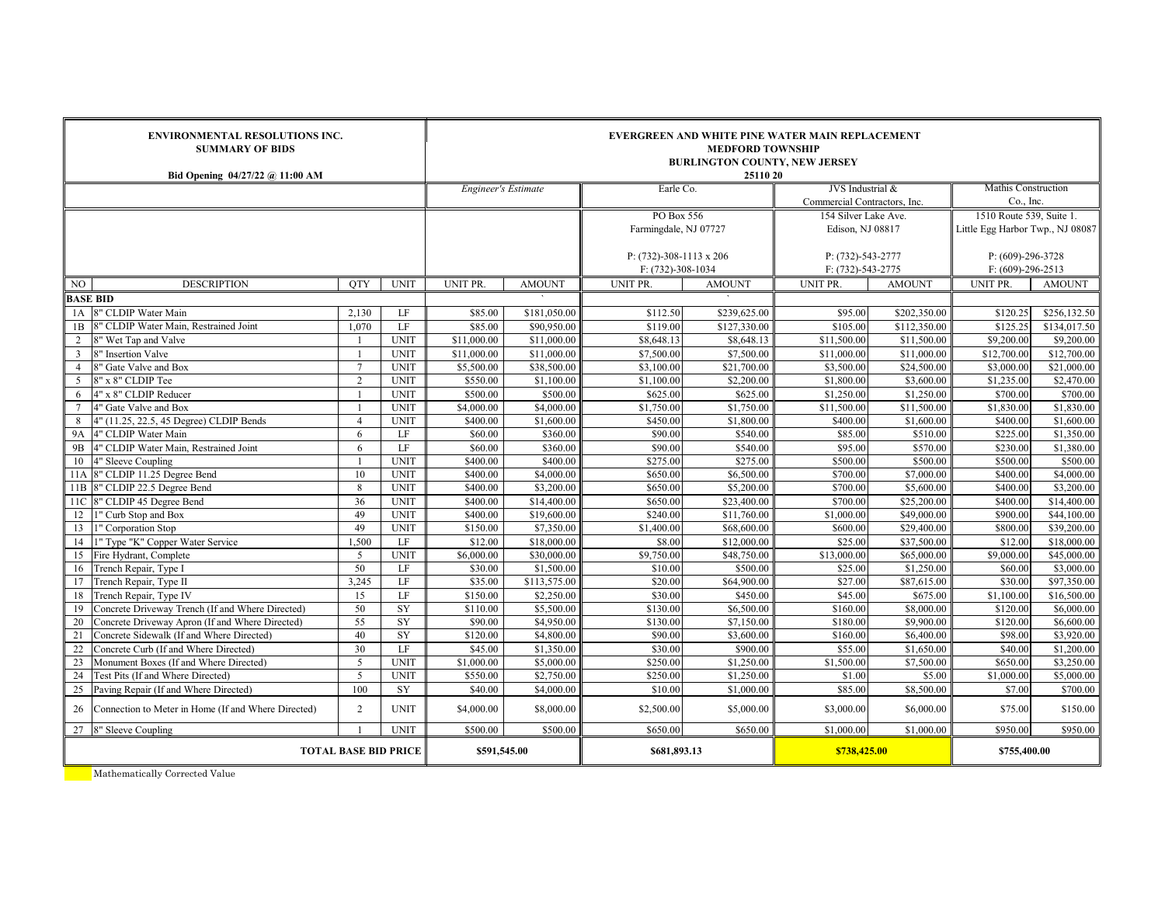|                             | <b>ENVIRONMENTAL RESOLUTIONS INC.</b><br><b>SUMMARY OF BIDS</b><br>Bid Opening 04/27/22 @ 11:00 AM |                                | EVERGREEN AND WHITE PINE WATER MAIN REPLACEMENT<br><b>MEDFORD TOWNSHIP</b><br><b>BURLINGTON COUNTY, NEW JERSEY</b><br>25110 20 |                            |                          |                                    |                          |                              |                          |                                       |                          |  |
|-----------------------------|----------------------------------------------------------------------------------------------------|--------------------------------|--------------------------------------------------------------------------------------------------------------------------------|----------------------------|--------------------------|------------------------------------|--------------------------|------------------------------|--------------------------|---------------------------------------|--------------------------|--|
|                             |                                                                                                    |                                |                                                                                                                                | <b>Engineer's Estimate</b> |                          | Earle Co.                          |                          | JVS Industrial &             |                          | Mathis Construction                   |                          |  |
|                             |                                                                                                    |                                |                                                                                                                                |                            |                          |                                    |                          | Commercial Contractors, Inc. |                          | Co., Inc.<br>1510 Route 539, Suite 1. |                          |  |
|                             |                                                                                                    |                                |                                                                                                                                |                            |                          |                                    | PO Box 556               |                              | 154 Silver Lake Ave.     |                                       |                          |  |
|                             |                                                                                                    |                                |                                                                                                                                |                            |                          | Farmingdale, NJ 07727              |                          | Edison, NJ 08817             |                          | Little Egg Harbor Twp., NJ 08087      |                          |  |
|                             |                                                                                                    |                                |                                                                                                                                |                            |                          |                                    |                          |                              |                          |                                       |                          |  |
|                             |                                                                                                    |                                |                                                                                                                                |                            |                          | P: $(732) - 308 - 1113 \times 206$ |                          | P: (732)-543-2777            |                          | $P: (609)-296-3728$                   |                          |  |
|                             |                                                                                                    |                                |                                                                                                                                |                            | F: (732)-308-1034        |                                    | F: (732)-543-2775        |                              | $F: (609)-296-2513$      |                                       |                          |  |
| NO.                         | <b>DESCRIPTION</b>                                                                                 | <b>OTY</b>                     | <b>UNIT</b>                                                                                                                    | UNIT PR.                   | <b>AMOUNT</b>            | UNIT PR.                           | <b>AMOUNT</b>            | UNIT PR.                     | <b>AMOUNT</b>            | UNIT PR.                              | <b>AMOUNT</b>            |  |
|                             | <b>BASE BID</b><br>8" CLDIP Water Main                                                             |                                |                                                                                                                                |                            |                          |                                    |                          |                              |                          |                                       |                          |  |
| 1A                          |                                                                                                    | 2,130                          | LF                                                                                                                             | \$85.00                    | \$181,050.00             | \$112.50                           | \$239,625.00             | \$95.00                      | \$202,350.00             | \$120.25                              | \$256,132.50             |  |
| 1B                          | 8" CLDIP Water Main, Restrained Joint                                                              | 1.070                          | LF                                                                                                                             | \$85.00                    | \$90,950.00              | \$119.00                           | \$127,330.00             | \$105.00                     | \$112,350.00             | \$125.25                              | \$134,017.50             |  |
| $\overline{2}$              | " Wet Tap and Valve                                                                                |                                | <b>UNIT</b>                                                                                                                    | \$11,000.00                | \$11,000.00              | \$8,648.13                         | \$8,648.13               | \$11,500.00                  | \$11,500.00              | \$9,200.00                            | \$9,200.00               |  |
| $\mathbf{3}$                | 8" Insertion Valve                                                                                 | $\overline{7}$                 | <b>UNIT</b>                                                                                                                    | \$11,000.00                | \$11,000.00              | \$7,500.00                         | \$7,500.00               | \$11,000.00                  | \$11,000.00              | \$12,700.00                           | \$12,700.00              |  |
| $\overline{4}$              | 8" Gate Valve and Box                                                                              |                                | <b>UNIT</b>                                                                                                                    | \$5,500.00                 | \$38,500.00              | \$3,100.00                         | \$21,700.00              | \$3,500.00                   | \$24,500.00              | \$3,000.00                            | \$21,000.00              |  |
| 5                           | 8" x 8" CLDIP Tee                                                                                  | $\overline{2}$                 | <b>UNIT</b>                                                                                                                    | \$550.00                   | \$1,100.00               | \$1,100.00                         | \$2,200.00               | \$1,800.00                   | \$3,600.00               | \$1,235.00                            | \$2,470.00               |  |
| 6                           | 4" x 8" CLDIP Reducer                                                                              | $\overline{1}$<br>$\mathbf{1}$ | <b>UNIT</b>                                                                                                                    | \$500.00                   | \$500.00                 | \$625.00                           | \$625.00                 | \$1,250.00                   | \$1,250.00               | \$700.00                              | \$700.00                 |  |
| 7                           | 4" Gate Valve and Box                                                                              |                                | <b>UNIT</b>                                                                                                                    | \$4,000.00                 | \$4,000.00               | \$1,750.00                         | \$1,750.00               | \$11,500.00                  | \$11,500.00              | \$1,830.00                            | \$1,830.00               |  |
| 8                           | 4" (11.25, 22.5, 45 Degree) CLDIP Bends                                                            | $\overline{4}$                 | <b>UNIT</b>                                                                                                                    | \$400.00                   | \$1,600.00               | \$450.00                           | \$1,800.00               | \$400.00                     | \$1,600.00               | \$400.00                              | \$1,600.00               |  |
| <b>9A</b>                   | 4" CLDIP Water Main                                                                                | 6                              | LF<br>LF                                                                                                                       | \$60.00                    | \$360.00<br>\$360.00     | \$90.00<br>\$90.00                 | \$540.00<br>\$540.00     | \$85.00<br>\$95.00           | \$510.00<br>\$570.00     | \$225.00                              | \$1,350.00               |  |
| 9 <sub>B</sub>              | 4" CLDIP Water Main, Restrained Joint                                                              | 6<br>$\overline{1}$            |                                                                                                                                | \$60.00                    |                          |                                    |                          |                              |                          | \$230.00                              | \$1,380.00               |  |
| 10                          | 4" Sleeve Coupling                                                                                 | 10                             | <b>UNIT</b>                                                                                                                    | \$400.00                   | \$400.00                 | \$275.00                           | \$275.00                 | \$500.00                     | \$500.00                 | \$500.00<br>\$400.00                  | \$500.00                 |  |
| 11A                         | 8" CLDIP 11.25 Degree Bend<br>11B 8" CLDIP 22.5 Degree Bend                                        | 8                              | <b>UNIT</b><br><b>UNIT</b>                                                                                                     | \$400.00<br>\$400.00       | \$4,000.00<br>\$3,200.00 | \$650.00<br>\$650.00               | \$6,500.00<br>\$5,200.00 | \$700.00<br>\$700.00         | \$7,000.00<br>\$5,600.00 | \$400.00                              | \$4,000.00<br>\$3,200.00 |  |
|                             | 8" CLDIP 45 Degree Bend                                                                            | 36                             | <b>UNIT</b>                                                                                                                    | \$400.00                   | \$14,400.00              | \$650.00                           | \$23,400.00              | \$700.00                     | \$25,200.00              | \$400.00                              | \$14,400.00              |  |
| 11C<br>12                   | 1" Curb Stop and Box                                                                               | 49                             | <b>UNIT</b>                                                                                                                    | \$400.00                   | \$19,600.00              | \$240.00                           | \$11,760.00              | \$1,000.00                   | \$49,000.00              | \$900.00                              | \$44,100.00              |  |
| 13                          | 1" Corporation Stop                                                                                | 49                             | <b>UNIT</b>                                                                                                                    | \$150.00                   | \$7,350.00               | \$1,400.00                         | \$68,600.00              | \$600.00                     | \$29,400.00              | \$800.00                              | \$39,200.00              |  |
| 14                          | 1" Type "K" Copper Water Service                                                                   | 1,500                          | LF                                                                                                                             | \$12.00                    | \$18,000.00              | \$8.00                             | \$12,000.00              | \$25.00                      | \$37,500.00              | \$12.00                               | \$18,000.00              |  |
| 15                          | Fire Hydrant, Complete                                                                             | 5                              | <b>UNIT</b>                                                                                                                    | \$6,000.00                 | \$30,000.00              | \$9,750.00                         | \$48,750.00              | \$13,000.00                  | \$65,000.00              | \$9,000.00                            | \$45,000.00              |  |
| 16                          | Trench Repair, Type I                                                                              | 50                             | LF                                                                                                                             | \$30.00                    | \$1,500.00               | \$10.00                            | \$500.00                 | \$25.00                      | \$1,250.00               | \$60.00                               | \$3,000.00               |  |
| 17                          | Trench Repair, Type II                                                                             | 3.245                          | LF                                                                                                                             | \$35.00                    | \$113,575.00             | \$20.00                            | \$64,900.00              | \$27.00                      | \$87,615.00              | \$30.00                               | \$97,350.00              |  |
| 18                          | Trench Repair, Type IV                                                                             | 15                             | LF                                                                                                                             | \$150.00                   | \$2,250.00               | \$30.00                            | \$450.00                 | \$45.00                      | \$675.00                 | \$1,100.00                            | \$16,500.00              |  |
| 19                          | Concrete Driveway Trench (If and Where Directed)                                                   | 50                             | SY                                                                                                                             | \$110.00                   | \$5,500.00               | \$130.00                           | \$6,500.00               | \$160.00                     | \$8,000.00               | \$120.00                              | \$6,000.00               |  |
| 20                          | Concrete Driveway Apron (If and Where Directed)                                                    | $\overline{55}$                | SY                                                                                                                             | \$90.00                    | \$4,950.00               | \$130.00                           | \$7,150.00               | \$180.00                     | \$9,900.00               | \$120.00                              | \$6,600.00               |  |
| 21                          | Concrete Sidewalk (If and Where Directed)                                                          | 40                             | SY                                                                                                                             | \$120.00                   | \$4,800.00               | \$90.00                            | \$3,600.00               | \$160.00                     | \$6,400.00               | \$98.00                               | \$3,920.00               |  |
| 22                          | Concrete Curb (If and Where Directed)                                                              | 30                             | LF                                                                                                                             | \$45.00                    | \$1,350.00               | \$30.00                            | \$900.00                 | \$55.00                      | \$1,650.00               | \$40.00                               | \$1,200.00               |  |
| 23                          | Monument Boxes (If and Where Directed)                                                             | 5                              | <b>UNIT</b>                                                                                                                    | \$1,000.00                 | \$5,000.00               | \$250.00                           | \$1,250.00               | \$1,500.00                   | \$7,500.00               | \$650.00                              | \$3,250.00               |  |
| 24                          | Test Pits (If and Where Directed)                                                                  | $\overline{5}$                 | <b>UNIT</b>                                                                                                                    | \$550.00                   | \$2,750.00               | \$250.00                           | \$1,250.00               | \$1.00                       | \$5.00                   | \$1,000.00                            | \$5,000.00               |  |
| 25                          | Paving Repair (If and Where Directed)                                                              | 100                            | <b>SY</b>                                                                                                                      | \$40.00                    | \$4,000.00               | \$10.00                            | \$1,000.00               | \$85.00                      | \$8,500.00               | \$7.00                                | \$700.00                 |  |
| 26                          | Connection to Meter in Home (If and Where Directed)                                                | $\overline{2}$                 | <b>UNIT</b>                                                                                                                    | \$4,000.00                 | \$8,000.00               | \$2,500.00                         | \$5,000.00               | \$3,000.00                   | \$6,000.00               | \$75.00                               | \$150.00                 |  |
|                             | 27 8" Sleeve Coupling                                                                              |                                | <b>UNIT</b>                                                                                                                    | \$500.00                   | \$500.00                 | \$650.00                           | \$650.00                 | \$1,000.00                   | \$1,000.00               | \$950.00                              | \$950.00                 |  |
| <b>TOTAL BASE BID PRICE</b> |                                                                                                    |                                |                                                                                                                                | \$591,545.00               |                          | \$681,893.13                       |                          | \$738,425.00                 |                          | \$755,400.00                          |                          |  |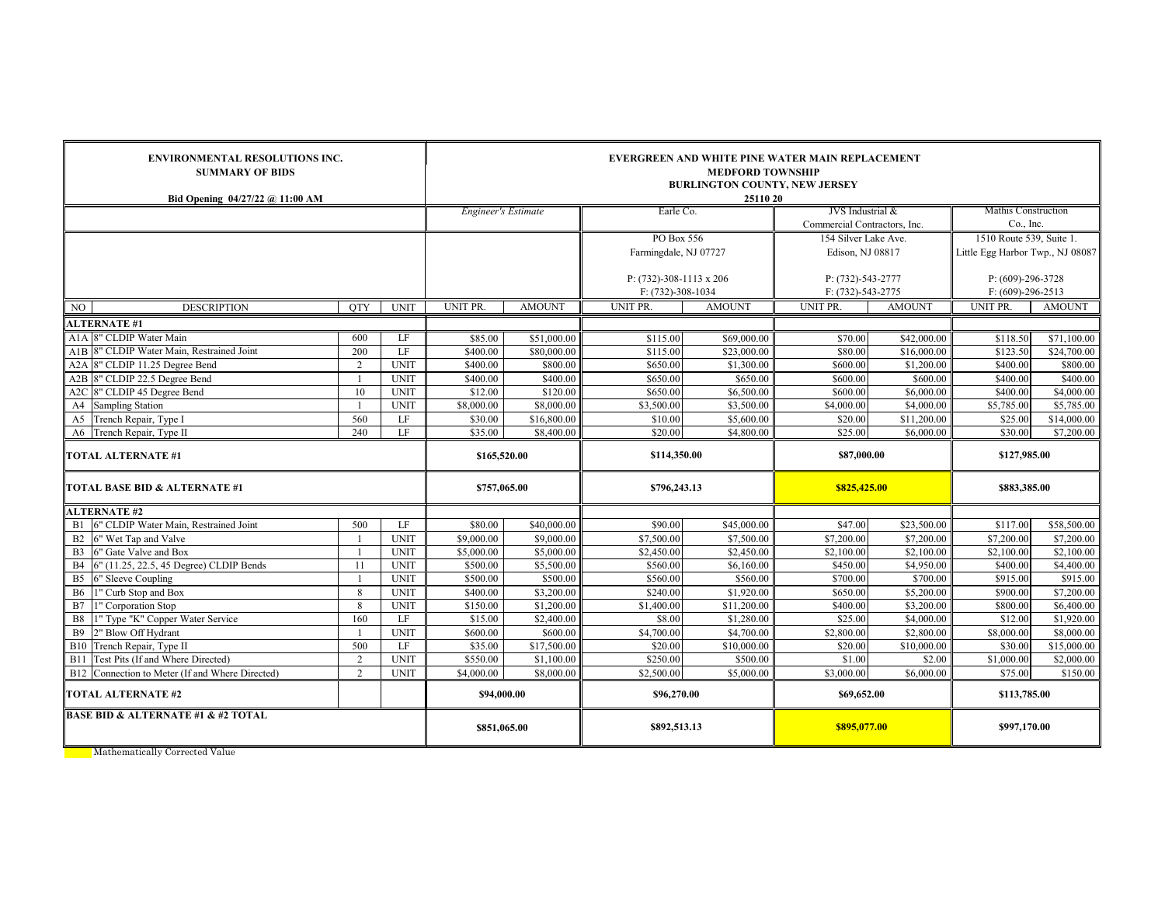| <b>ENVIRONMENTAL RESOLUTIONS INC.</b><br><b>SUMMARY OF BIDS</b><br>Bid Opening $04/27/22$ @ 11:00 AM |                |             | <b>EVERGREEN AND WHITE PINE WATER MAIN REPLACEMENT</b><br><b>MEDFORD TOWNSHIP</b><br><b>BURLINGTON COUNTY, NEW JERSEY</b><br>25110 20 |               |                                                 |               |                                        |               |                                            |                         |  |
|------------------------------------------------------------------------------------------------------|----------------|-------------|---------------------------------------------------------------------------------------------------------------------------------------|---------------|-------------------------------------------------|---------------|----------------------------------------|---------------|--------------------------------------------|-------------------------|--|
|                                                                                                      |                |             | Engineer's Estimate                                                                                                                   |               | Earle Co.                                       |               | JVS Industrial &                       |               | <b>Mathis Construction</b>                 |                         |  |
|                                                                                                      |                |             |                                                                                                                                       |               |                                                 |               | Commercial Contractors, Inc.           |               | Co., Inc.                                  |                         |  |
|                                                                                                      |                |             |                                                                                                                                       |               | PO Box 556                                      |               | 154 Silver Lake Ave.                   |               | 1510 Route 539, Suite 1.                   |                         |  |
|                                                                                                      |                |             |                                                                                                                                       |               | Farmingdale, NJ 07727                           |               | Edison, NJ 08817                       |               | Little Egg Harbor Twp., NJ 08087           |                         |  |
|                                                                                                      |                |             |                                                                                                                                       |               | P: $(732)$ -308-1113 x 206<br>F: (732)-308-1034 |               | P: (732)-543-2777<br>F: (732)-543-2775 |               | $P: (609)-296-3728$<br>$F: (609)-296-2513$ |                         |  |
| <b>DESCRIPTION</b><br>NO.                                                                            | <b>OTY</b>     | <b>UNIT</b> | UNIT PR.                                                                                                                              | <b>AMOUNT</b> | UNIT PR.                                        | <b>AMOUNT</b> | <b>UNIT PR</b>                         | <b>AMOUNT</b> | <b>UNIT PR.</b>                            | <b>AMOUNT</b>           |  |
| <b>ALTERNATE #1</b>                                                                                  |                |             |                                                                                                                                       |               |                                                 |               |                                        |               |                                            |                         |  |
| A <sub>1</sub> A 8" CLDIP Water Main                                                                 | 600            | LF          | \$85.00                                                                                                                               | \$51,000.00   | \$115.00                                        | \$69,000.00   | \$70.00                                | \$42,000.00   | \$118.50                                   | \$71,100.00             |  |
| A1B 8" CLDIP Water Main, Restrained Joint                                                            | 200            | LF          | \$400.00                                                                                                                              | \$80,000.00   | \$115.00                                        | \$23,000.00   | \$80.00                                | \$16,000.00   | \$123.50                                   | $\overline{$}24,700.00$ |  |
| A2A 8" CLDIP 11.25 Degree Bend                                                                       | $\overline{2}$ | <b>UNIT</b> | \$400.00                                                                                                                              | \$800.00      | \$650.00                                        | \$1,300.00    | \$600.00                               | \$1,200.00    | \$400.00                                   | \$800.00                |  |
| A2B 8" CLDIP 22.5 Degree Bend                                                                        | $\overline{1}$ | <b>UNIT</b> | \$400.00                                                                                                                              | \$400.00      | \$650.00                                        | \$650.00      | \$600.00                               | \$600.00      | \$400.00                                   | \$400.00                |  |
| A2C 8" CLDIP 45 Degree Bend                                                                          | 10             | <b>UNIT</b> | \$12.00                                                                                                                               | \$120.00      | \$650.00                                        | \$6,500.00    | \$600.00                               | \$6,000.00    | \$400.00                                   | \$4,000.00              |  |
| A4<br><b>Sampling Station</b>                                                                        | $\overline{1}$ | <b>UNIT</b> | \$8,000.00                                                                                                                            | \$8,000.00    | \$3,500.00                                      | \$3,500.00    | \$4,000.00                             | \$4,000.00    | \$5,785.00                                 | \$5,785.00              |  |
| A <sub>5</sub><br>Trench Repair, Type I                                                              | 560            | LF          | \$30.00                                                                                                                               | \$16,800.00   | \$10.00                                         | \$5,600.00    | \$20.00                                | \$11,200.00   | \$25.00                                    | \$14,000.00             |  |
| A6 Trench Repair, Type II                                                                            | 240            | LF          | \$35.00                                                                                                                               | \$8,400.00    | \$20.00                                         | \$4,800.00    | \$25.00                                | \$6,000.00    | \$30.00                                    | \$7,200.00              |  |
| <b>TOTAL ALTERNATE #1</b>                                                                            |                |             | \$165,520.00                                                                                                                          |               | \$114,350.00                                    |               | \$87,000.00                            |               | \$127,985.00                               |                         |  |
| <b>TOTAL BASE BID &amp; ALTERNATE #1</b>                                                             |                |             | \$757,065.00                                                                                                                          |               | \$796,243.13                                    |               | \$825,425.00                           |               | \$883,385.00                               |                         |  |
| <b>ALTERNATE #2</b>                                                                                  |                |             |                                                                                                                                       |               |                                                 |               |                                        |               |                                            |                         |  |
| 6" CLDIP Water Main, Restrained Joint<br>B1                                                          | 500            | LF          | \$80.00                                                                                                                               | \$40,000.00   | \$90.00                                         | \$45,000.00   | \$47.00                                | \$23,500.00   | \$117.00                                   | \$58,500.00             |  |
| 6" Wet Tap and Valve<br>B <sub>2</sub>                                                               |                | <b>UNIT</b> | \$9,000.00                                                                                                                            | \$9,000.00    | \$7,500.00                                      | \$7,500.00    | \$7,200.00                             | \$7,200.00    | \$7,200.00                                 | \$7,200.00              |  |
| 6" Gate Valve and Box<br>B <sub>3</sub>                                                              | $\overline{1}$ | <b>UNIT</b> | \$5,000.00                                                                                                                            | \$5,000.00    | \$2,450.00                                      | \$2,450.00    | \$2,100.00                             | \$2,100.00    | \$2,100.00                                 | \$2,100.00              |  |
| 6" (11.25, 22.5, 45 Degree) CLDIP Bends<br><b>B4</b>                                                 | 11             | <b>UNIT</b> | \$500.00                                                                                                                              | \$5,500.00    | \$560.00                                        | \$6,160.00    | \$450.00                               | \$4,950.00    | \$400.00                                   | \$4,400.00              |  |
| B <sub>5</sub><br>6" Sleeve Coupling                                                                 |                | <b>UNIT</b> | \$500.00                                                                                                                              | \$500.00      | \$560.00                                        | \$560.00      | \$700.00                               | \$700.00      | \$915.00                                   | \$915.00                |  |
| 1" Curb Stop and Box<br><b>B6</b>                                                                    | 8              | <b>UNIT</b> | \$400.00                                                                                                                              | \$3,200.00    | \$240.00                                        | \$1,920.00    | \$650.00                               | \$5,200.00    | \$900.00                                   | \$7,200.00              |  |
| B7<br>" Corporation Stop                                                                             | 8              | <b>UNIT</b> | \$150.00                                                                                                                              | \$1,200.00    | \$1,400.00                                      | \$11,200.00   | \$400.00                               | \$3,200.00    | \$800.00                                   | \$6,400.00              |  |
| B8<br>l" Type "K" Copper Water Service                                                               | 160            | LF          | \$15.00                                                                                                                               | \$2,400.00    | \$8.00                                          | \$1,280.00    | \$25.00                                | \$4,000.00    | \$12.00                                    | \$1,920.00              |  |
| <b>B9</b><br>2" Blow Off Hydrant                                                                     |                | <b>UNIT</b> | \$600.00                                                                                                                              | \$600.00      | \$4,700.00                                      | \$4,700.00    | \$2,800.00                             | \$2,800.00    | \$8,000.00                                 | \$8,000.00              |  |
| <b>B10</b><br>Trench Repair, Type II                                                                 | 500            | LF          | \$35.00                                                                                                                               | \$17,500.00   | \$20.00                                         | \$10,000.00   | \$20.00                                | \$10,000.00   | \$30.00                                    | \$15,000.00             |  |
| Test Pits (If and Where Directed)<br><b>B11</b>                                                      | $\overline{2}$ | <b>UNIT</b> | \$550.00                                                                                                                              | \$1,100.00    | \$250.00                                        | \$500.00      | \$1.00                                 | \$2.00        | \$1,000.00                                 | \$2,000.00              |  |
| B12 Connection to Meter (If and Where Directed)                                                      | $\overline{2}$ | <b>UNIT</b> | \$4,000.00                                                                                                                            | \$8,000.00    | \$2,500.00                                      | \$5,000.00    | \$3,000.00                             | \$6,000.00    | \$75.00                                    | \$150.00                |  |
| <b>TOTAL ALTERNATE #2</b><br>\$94,000.00                                                             |                |             |                                                                                                                                       |               | \$96,270.00                                     |               | \$69,652.00                            |               | \$113,785.00                               |                         |  |
| <b>BASE BID &amp; ALTERNATE #1 &amp; #2 TOTAL</b>                                                    | \$851,065.00   |             | \$892,513.13                                                                                                                          |               | \$895,077.00                                    |               | \$997,170.00                           |               |                                            |                         |  |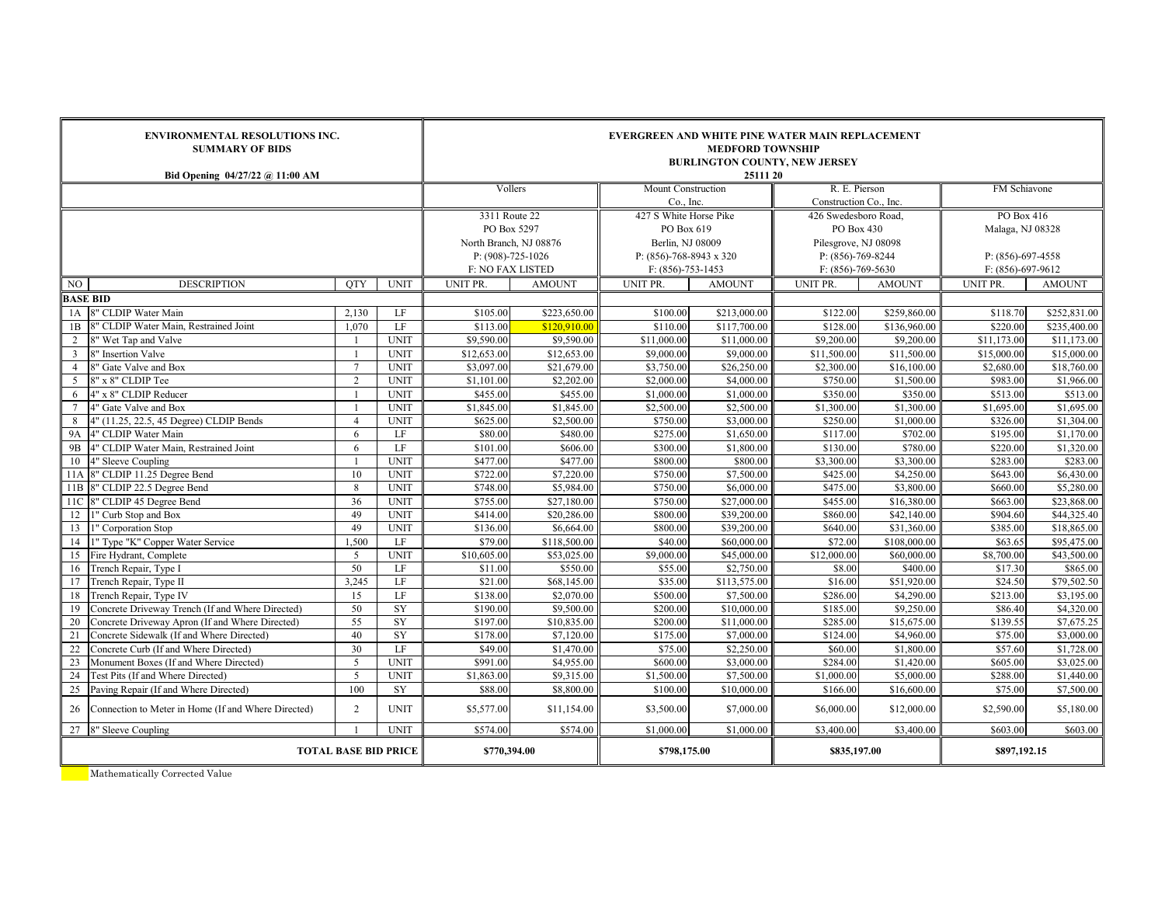|                 | <b>ENVIRONMENTAL RESOLUTIONS INC.</b><br><b>SUMMARY OF BIDS</b><br>Bid Opening 04/27/22 @ 11:00 AM |                 | <b>EVERGREEN AND WHITE PINE WATER MAIN REPLACEMENT</b><br><b>MEDFORD TOWNSHIP</b><br><b>BURLINGTON COUNTY, NEW JERSEY</b><br>25111 20 |                         |               |                                 |               |                                         |               |                         |               |  |
|-----------------|----------------------------------------------------------------------------------------------------|-----------------|---------------------------------------------------------------------------------------------------------------------------------------|-------------------------|---------------|---------------------------------|---------------|-----------------------------------------|---------------|-------------------------|---------------|--|
|                 |                                                                                                    |                 |                                                                                                                                       | Vollers                 |               | Mount Construction<br>Co., Inc. |               | R. E. Pierson<br>Construction Co., Inc. |               | FM Schiavone            |               |  |
|                 |                                                                                                    |                 |                                                                                                                                       | 3311 Route 22           |               | 427 S White Horse Pike          |               | 426 Swedesboro Road,                    |               | PO Box 416              |               |  |
|                 |                                                                                                    |                 |                                                                                                                                       | PO Box 5297             |               | PO Box 619                      |               | PO Box 430                              |               | Malaga, NJ 08328        |               |  |
|                 |                                                                                                    |                 |                                                                                                                                       | North Branch, NJ 08876  |               | Berlin, NJ 08009                |               | Pilesgrove, NJ 08098                    |               |                         |               |  |
|                 |                                                                                                    |                 |                                                                                                                                       | P: (908)-725-1026       |               | P: $(856)$ -768-8943 x 320      |               | $P: (856) - 769 - 8244$                 |               | $P: (856) - 697 - 4558$ |               |  |
|                 |                                                                                                    |                 |                                                                                                                                       | <b>F: NO FAX LISTED</b> |               | $F: (856)-753-1453$             |               | $F: (856) - 769 - 5630$                 |               | $F: (856) - 697 - 9612$ |               |  |
| NO              | <b>DESCRIPTION</b>                                                                                 | <b>OTY</b>      | <b>UNIT</b>                                                                                                                           | UNIT PR.                | <b>AMOUNT</b> | UNIT PR.                        | <b>AMOUNT</b> | UNIT PR.                                | <b>AMOUNT</b> | UNIT PR.                | <b>AMOUNT</b> |  |
| <b>BASE BID</b> |                                                                                                    |                 |                                                                                                                                       |                         |               |                                 |               |                                         |               |                         |               |  |
|                 | 1A 8" CLDIP Water Main                                                                             | 2.130           | LF                                                                                                                                    | \$105.00                | \$223,650.00  | \$100.00                        | \$213,000.00  | \$122.00                                | \$259,860.00  | \$118.70                | \$252,831.00  |  |
| 1B              | 8" CLDIP Water Main, Restrained Joint                                                              | 1,070           | $\rm LF$                                                                                                                              | \$113.00                | \$120,910.00  | \$110.00                        | \$117,700.00  | \$128.00                                | \$136,960.00  | \$220.00                | \$235,400.00  |  |
| 2               | 3" Wet Tap and Valve                                                                               |                 | <b>UNIT</b>                                                                                                                           | \$9,590.00              | \$9,590.00    | \$11,000.00                     | \$11,000.00   | \$9,200.00                              | \$9,200.00    | \$11,173.00             | \$11,173.00   |  |
| $\overline{3}$  | 8" Insertion Valve                                                                                 | $\overline{1}$  | <b>UNIT</b>                                                                                                                           | \$12,653.00             | \$12,653.00   | \$9,000.00                      | \$9,000.00    | \$11,500.00                             | \$11,500.00   | \$15,000.00             | \$15,000.00   |  |
| $\overline{4}$  | 8" Gate Valve and Box                                                                              | $7\phantom{.0}$ | <b>UNIT</b>                                                                                                                           | \$3,097.00              | \$21,679.00   | \$3,750.00                      | \$26,250.00   | \$2,300.00                              | \$16,100.00   | \$2,680.00              | \$18,760.00   |  |
| $\overline{5}$  | 8" x 8" CLDIP Tee                                                                                  | $\overline{2}$  | <b>UNIT</b>                                                                                                                           | \$1,101.00              | \$2,202.00    | \$2,000.00                      | \$4,000.00    | \$750.00                                | \$1,500.00    | \$983.00                | \$1,966.00    |  |
| 6               | 4" x 8" CLDIP Reducer                                                                              | $\overline{1}$  | <b>UNIT</b>                                                                                                                           | \$455.00                | \$455.00      | \$1,000.00                      | \$1,000.00    | \$350.00                                | \$350.00      | \$513.00                | \$513.00      |  |
| $7\phantom{.0}$ | 4" Gate Valve and Box                                                                              | $\overline{1}$  | <b>UNIT</b>                                                                                                                           | \$1,845.00              | \$1,845.00    | \$2,500.00                      | \$2,500.00    | \$1,300.00                              | \$1,300.00    | \$1,695.00              | \$1,695.00    |  |
| 8               | 4" (11.25, 22.5, 45 Degree) CLDIP Bends                                                            | $\overline{4}$  | <b>UNIT</b>                                                                                                                           | \$625.00                | \$2,500.00    | \$750.00                        | \$3,000.00    | \$250.00                                | \$1,000.00    | \$326.00                | \$1,304.00    |  |
| <b>9A</b>       | 4" CLDIP Water Main                                                                                | 6               | LF                                                                                                                                    | \$80.00                 | \$480.00      | \$275.00                        | \$1,650.00    | \$117.00                                | \$702.00      | \$195.00                | \$1,170.00    |  |
| 9 <sub>B</sub>  | 4" CLDIP Water Main, Restrained Joint                                                              | 6               | LF                                                                                                                                    | \$101.00                | \$606.00      | \$300.00                        | \$1,800.00    | \$130.00                                | \$780.00      | \$220.00                | \$1,320.00    |  |
| 10              | 4" Sleeve Coupling                                                                                 | $\overline{1}$  | <b>UNIT</b>                                                                                                                           | \$477.00                | \$477.00      | \$800.00                        | \$800.00      | \$3,300.00                              | \$3,300.00    | \$283.00                | \$283.00      |  |
|                 | 11A 8" CLDIP 11.25 Degree Bend                                                                     | 10              | <b>UNIT</b>                                                                                                                           | \$722.00                | \$7,220.00    | \$750.00                        | \$7,500.00    | \$425.00                                | \$4,250.00    | \$643.00                | \$6,430.00    |  |
|                 | 11B 8" CLDIP 22.5 Degree Bend                                                                      | 8               | <b>UNIT</b>                                                                                                                           | \$748.00                | \$5,984.00    | \$750.00                        | \$6,000.00    | \$475.00                                | \$3,800.00    | \$660.00                | \$5,280.00    |  |
| 11C             | 8" CLDIP 45 Degree Bend                                                                            | 36              | <b>UNIT</b>                                                                                                                           | \$755.00                | \$27,180.00   | \$750.00                        | \$27,000.00   | \$455.00                                | \$16,380.00   | \$663.00                | \$23,868.00   |  |
| 12              | I" Curb Stop and Box                                                                               | 49              | <b>UNIT</b>                                                                                                                           | \$414.00                | \$20,286.00   | \$800.00                        | \$39,200.00   | \$860.00                                | \$42,140.00   | \$904.60                | \$44,325.40   |  |
| 13              | l" Corporation Stop                                                                                | 49              | <b>UNIT</b>                                                                                                                           | \$136.00                | \$6,664.00    | \$800.00                        | \$39,200.00   | \$640.00                                | \$31,360.00   | \$385.00                | \$18,865.00   |  |
| 14              | l" Type "K" Copper Water Service                                                                   | 1.500           | LF                                                                                                                                    | \$79.00                 | \$118,500.00  | \$40.00                         | \$60,000.00   | \$72.00                                 | \$108,000.00  | \$63.65                 | \$95,475.00   |  |
| 15              | Fire Hydrant, Complete                                                                             | $\overline{5}$  | <b>UNIT</b>                                                                                                                           | \$10,605.00             | \$53,025.00   | \$9,000.00                      | \$45,000.00   | \$12,000.00                             | \$60,000.00   | \$8,700.00              | \$43,500.00   |  |
| 16              | Trench Repair, Type I                                                                              | 50              | LF                                                                                                                                    | \$11.00                 | \$550.00      | \$55.00                         | \$2,750.00    | \$8.00                                  | \$400.00      | \$17.30                 | \$865.00      |  |
| 17              | Trench Repair, Type II                                                                             | 3,245           | LF                                                                                                                                    | \$21.00                 | \$68,145.00   | \$35.00                         | \$113,575.00  | \$16.00                                 | \$51,920.00   | \$24.50                 | \$79,502.50   |  |
| 18              | Trench Repair, Type IV                                                                             | 15              | LF                                                                                                                                    | \$138.00                | \$2,070.00    | \$500.00                        | \$7,500.00    | \$286.00                                | \$4,290.00    | \$213.00                | \$3,195.00    |  |
| 19              | Concrete Driveway Trench (If and Where Directed)                                                   | 50              | SY                                                                                                                                    | \$190.00                | \$9,500.00    | \$200.00                        | \$10,000.00   | \$185.00                                | \$9,250.00    | \$86.40                 | \$4,320.00    |  |
| 20              | Concrete Driveway Apron (If and Where Directed)                                                    | 55              | <b>SY</b>                                                                                                                             | \$197.00                | \$10,835.00   | \$200.00                        | \$11,000.00   | \$285.00                                | \$15,675.00   | \$139.55                | \$7,675.25    |  |
| 21              | Concrete Sidewalk (If and Where Directed)                                                          | 40              | SY                                                                                                                                    | \$178.00                | \$7,120.00    | \$175.00                        | \$7,000.00    | \$124.00                                | \$4,960.00    | \$75.00                 | \$3,000.00    |  |
| 22              | Concrete Curb (If and Where Directed)                                                              | 30              | LF                                                                                                                                    | \$49.00                 | \$1,470.00    | \$75.00                         | \$2,250.00    | \$60.00                                 | \$1,800.00    | \$57.60                 | \$1,728.00    |  |
| 23              | Monument Boxes (If and Where Directed)                                                             | 5               | <b>UNIT</b>                                                                                                                           | \$991.00                | \$4,955.00    | \$600.00                        | \$3,000.00    | \$284.00                                | \$1,420.00    | \$605.00                | \$3,025.00    |  |
| 24              | Test Pits (If and Where Directed)                                                                  | 5               | <b>UNIT</b>                                                                                                                           | \$1,863.00              | \$9,315.00    | \$1,500.00                      | \$7,500.00    | \$1,000.00                              | \$5,000.00    | \$288.00                | \$1,440.00    |  |
| 25              | Paving Repair (If and Where Directed)                                                              | 100             | SY                                                                                                                                    | \$88.00                 | \$8,800.00    | \$100.00                        | \$10,000.00   | \$166.00                                | \$16,600.00   | \$75.00                 | \$7,500.00    |  |
| 26              | Connection to Meter in Home (If and Where Directed)                                                | $\overline{2}$  | <b>UNIT</b>                                                                                                                           | \$5,577.00              | \$11,154.00   | \$3,500.00                      | \$7,000.00    | \$6,000.00                              | \$12,000.00   | \$2,590.00              | \$5,180.00    |  |
|                 | 27 8" Sleeve Coupling<br><b>UNIT</b>                                                               |                 |                                                                                                                                       | \$574.00                | \$574.00      | \$1,000.00                      | \$1,000.00    | \$3,400.00                              | \$3,400.00    | \$603.00                | \$603.00      |  |
|                 | <b>TOTAL BASE BID PRICE</b>                                                                        |                 |                                                                                                                                       | \$770,394.00            |               | \$798,175.00                    |               | \$835,197.00                            |               | \$897,192.15            |               |  |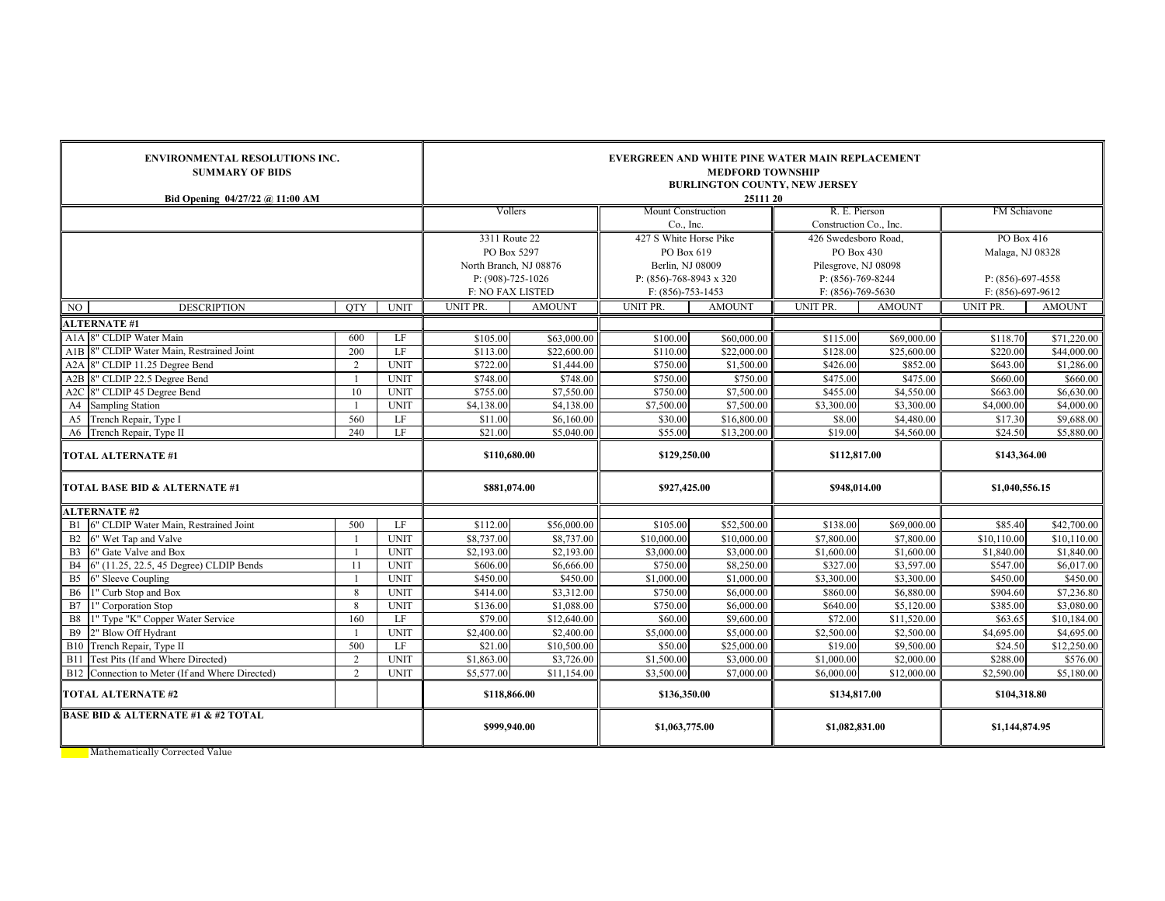| <b>ENVIRONMENTAL RESOLUTIONS INC.</b><br><b>SUMMARY OF BIDS</b><br>Bid Opening 04/27/22 @ 11:00 AM |                     | EVERGREEN AND WHITE PINE WATER MAIN REPLACEMENT<br><b>MEDFORD TOWNSHIP</b><br><b>BURLINGTON COUNTY, NEW JERSEY</b><br>25111 20 |                                                |                           |                                                   |                          |                                            |                           |                                                    |                        |  |
|----------------------------------------------------------------------------------------------------|---------------------|--------------------------------------------------------------------------------------------------------------------------------|------------------------------------------------|---------------------------|---------------------------------------------------|--------------------------|--------------------------------------------|---------------------------|----------------------------------------------------|------------------------|--|
|                                                                                                    |                     |                                                                                                                                | Vollers                                        |                           | <b>Mount Construction</b>                         |                          | R. E. Pierson                              |                           | FM Schiavone                                       |                        |  |
|                                                                                                    |                     |                                                                                                                                |                                                |                           | Co., Inc.                                         |                          | Construction Co., Inc.                     |                           |                                                    |                        |  |
|                                                                                                    |                     |                                                                                                                                | 3311 Route 22                                  |                           | 427 S White Horse Pike                            |                          | 426 Swedesboro Road.                       |                           | PO Box 416                                         |                        |  |
|                                                                                                    |                     |                                                                                                                                | PO Box 5297                                    |                           | PO Box 619                                        |                          | PO Box 430                                 |                           | Malaga, NJ 08328                                   |                        |  |
|                                                                                                    |                     |                                                                                                                                | North Branch, NJ 08876                         |                           | Berlin, NJ 08009                                  |                          | Pilesgrove, NJ 08098                       |                           |                                                    |                        |  |
|                                                                                                    |                     |                                                                                                                                | $P: (908)-725-1026$<br><b>F: NO FAX LISTED</b> |                           | P: $(856)$ -768-8943 x 320<br>$F: (856)-753-1453$ |                          | $P: (856)-769-8244$<br>$F: (856)-769-5630$ |                           | $P: (856) - 697 - 4558$<br>$F: (856) - 697 - 9612$ |                        |  |
| <b>DESCRIPTION</b><br>NO                                                                           | <b>OTY</b>          | <b>UNIT</b>                                                                                                                    | UNIT PR.                                       | <b>AMOUNT</b>             | UNIT PR.                                          | <b>AMOUNT</b>            | UNIT PR.                                   | <b>AMOUNT</b>             | UNIT PR.                                           | <b>AMOUNT</b>          |  |
| <b>ALTERNATE#1</b>                                                                                 |                     |                                                                                                                                |                                                |                           |                                                   |                          |                                            |                           |                                                    |                        |  |
| A1A 8" CLDIP Water Main                                                                            | 600                 | LF                                                                                                                             | \$105.00                                       | \$63,000.00               | \$100.00                                          | \$60,000.00              | \$115.00                                   | \$69,000.00               | \$118.70                                           | \$71,220.00            |  |
| A1B 8" CLDIP Water Main, Restrained Joint                                                          | 200                 | LF                                                                                                                             | \$113.00                                       | \$22,600.00               | \$110.00                                          | \$22,000.00              | \$128.00                                   | \$25,600.00               | \$220.00                                           | \$44,000.00            |  |
| A2A 8" CLDIP 11.25 Degree Bend                                                                     | 2                   | <b>UNIT</b>                                                                                                                    | \$722.00                                       | \$1,444.00                | \$750.00                                          | \$1,500.00               | \$426.00                                   | \$852.00                  | \$643.00                                           | \$1,286.00             |  |
| A2B 8" CLDIP 22.5 Degree Bend                                                                      |                     | <b>UNIT</b>                                                                                                                    | \$748.00                                       | \$748.00                  | \$750.00                                          | \$750.00                 | \$475.00                                   | \$475.00                  | \$660.00                                           | \$660.00               |  |
| A2C 8" CLDIP 45 Degree Bend                                                                        | 10                  | <b>UNIT</b>                                                                                                                    | \$755.00                                       | \$7,550.00                | \$750.00                                          | \$7,500.00               | \$455.00                                   | \$4,550.00                | \$663.00                                           | \$6,630.00             |  |
| A4<br><b>Sampling Station</b>                                                                      |                     | <b>UNIT</b>                                                                                                                    | \$4,138.00                                     | \$4,138.00                | \$7,500.00                                        | \$7,500.00               | \$3,300.00                                 | \$3,300.00                | \$4,000.00                                         | \$4,000.00             |  |
| A5 Trench Repair, Type I                                                                           | 560                 | LF                                                                                                                             | \$11.00                                        | \$6,160.00                | \$30.00                                           | \$16,800.00              | \$8.00                                     | \$4,480.00                | \$17.30                                            | \$9,688.00             |  |
| A6 Trench Repair, Type II                                                                          | 240                 | LF                                                                                                                             | \$21.00                                        | \$5,040.00                | \$55.00                                           | \$13,200.00              | \$19.00                                    | \$4,560.00                | \$24.50                                            | \$5,880.00             |  |
| <b>TOTAL ALTERNATE #1</b>                                                                          |                     |                                                                                                                                | \$110,680.00                                   |                           | \$129,250.00                                      |                          | \$112,817.00                               |                           | \$143,364.00                                       |                        |  |
| TOTAL BASE BID & ALTERNATE #1                                                                      |                     |                                                                                                                                | \$881,074.00                                   |                           | \$927,425.00                                      |                          | \$948,014.00                               |                           | \$1,040,556.15                                     |                        |  |
| <b>ALTERNATE #2</b>                                                                                |                     |                                                                                                                                |                                                |                           |                                                   |                          |                                            |                           |                                                    |                        |  |
| B1 6" CLDIP Water Main, Restrained Joint                                                           | 500                 | LF                                                                                                                             | \$112.00                                       | \$56,000.00               | \$105.00                                          | \$52,500.00              | \$138.00                                   | \$69,000.00               | \$85.40                                            | \$42,700.00            |  |
| 6" Wet Tap and Valve<br>B2                                                                         |                     | <b>UNIT</b>                                                                                                                    | \$8,737.00                                     | \$8,737.00                | \$10,000.00                                       | \$10,000.00              | \$7,800.00                                 | \$7,800.00                | \$10,110.00                                        | \$10,110.00            |  |
| B <sub>3</sub><br>6" Gate Valve and Box                                                            |                     | <b>UNIT</b>                                                                                                                    | \$2,193.00                                     | \$2,193.00                | \$3,000.00                                        | \$3,000.00               | \$1,600.00                                 | \$1,600.00                | \$1,840.00                                         | \$1,840.00             |  |
| <b>B4</b><br>6" (11.25, 22.5, 45 Degree) CLDIP Bends                                               | 11                  | <b>UNIT</b>                                                                                                                    | \$606.00                                       | \$6,666.00                | \$750.00                                          | \$8,250.00               | \$327.00                                   | \$3,597.00                | \$547.00                                           | \$6,017.00             |  |
| <b>B5</b><br>6" Sleeve Coupling                                                                    |                     | <b>UNIT</b>                                                                                                                    | \$450.00                                       | \$450.00                  | \$1,000.00                                        | \$1,000.00               | \$3,300.00                                 | \$3,300.00                | \$450.00                                           | \$450.00               |  |
| <b>B6</b><br>1" Curb Stop and Box                                                                  | 8                   | <b>UNIT</b>                                                                                                                    | \$414.00                                       | \$3,312.00                | \$750.00                                          | \$6,000.00               | \$860.00                                   | \$6,880.00                | \$904.60                                           | \$7,236.80             |  |
| B7<br>1" Corporation Stop                                                                          | 8                   | <b>UNIT</b>                                                                                                                    | \$136.00                                       | \$1,088.00                | \$750.00                                          | \$6,000.00               | \$640.00                                   | \$5,120.00                | \$385.00                                           | \$3,080.00             |  |
| 1" Type "K" Copper Water Service<br><b>B</b> 8                                                     | 160                 | LF                                                                                                                             | \$79.00                                        | \$12,640.00               | \$60.00                                           | \$9,600.00               | \$72.00                                    | \$11,520.00               | \$63.65                                            | \$10,184.00            |  |
| <b>B</b> 9<br>2" Blow Off Hydrant                                                                  |                     | <b>UNIT</b>                                                                                                                    | \$2,400.00                                     | \$2,400.00                | \$5,000.00                                        | \$5,000.00               | \$2,500.00                                 | \$2,500.00                | \$4,695.00                                         | \$4,695.00             |  |
| B10 Trench Repair, Type II                                                                         | 500                 | LF                                                                                                                             | \$21.00                                        | \$10,500.00               | \$50.00                                           | \$25,000.00              | \$19.00                                    | \$9,500.00                | \$24.50                                            | \$12,250.00            |  |
| B11 Test Pits (If and Where Directed)<br>B12 Connection to Meter (If and Where Directed)           | 2<br>$\overline{2}$ | <b>UNIT</b><br><b>UNIT</b>                                                                                                     | \$1,863.00<br>\$5,577.00                       | \$3,726.00<br>\$11,154.00 | \$1,500.00<br>\$3,500.00                          | \$3,000.00<br>\$7,000.00 | \$1,000.00<br>\$6,000.00                   | \$2,000.00<br>\$12,000.00 | \$288.00<br>\$2,590.00                             | \$576.00<br>\$5,180.00 |  |
|                                                                                                    |                     |                                                                                                                                |                                                |                           |                                                   |                          |                                            |                           |                                                    |                        |  |
| <b>TOTAL ALTERNATE #2</b>                                                                          |                     |                                                                                                                                | \$118,866.00                                   |                           | \$136,350.00                                      |                          | \$134,817.00                               |                           | \$104,318.80                                       |                        |  |
| <b>BASE BID &amp; ALTERNATE #1 &amp; #2 TOTAL</b>                                                  | \$999,940.00        |                                                                                                                                | \$1,063,775.00                                 |                           | \$1,082,831.00                                    |                          | \$1,144,874.95                             |                           |                                                    |                        |  |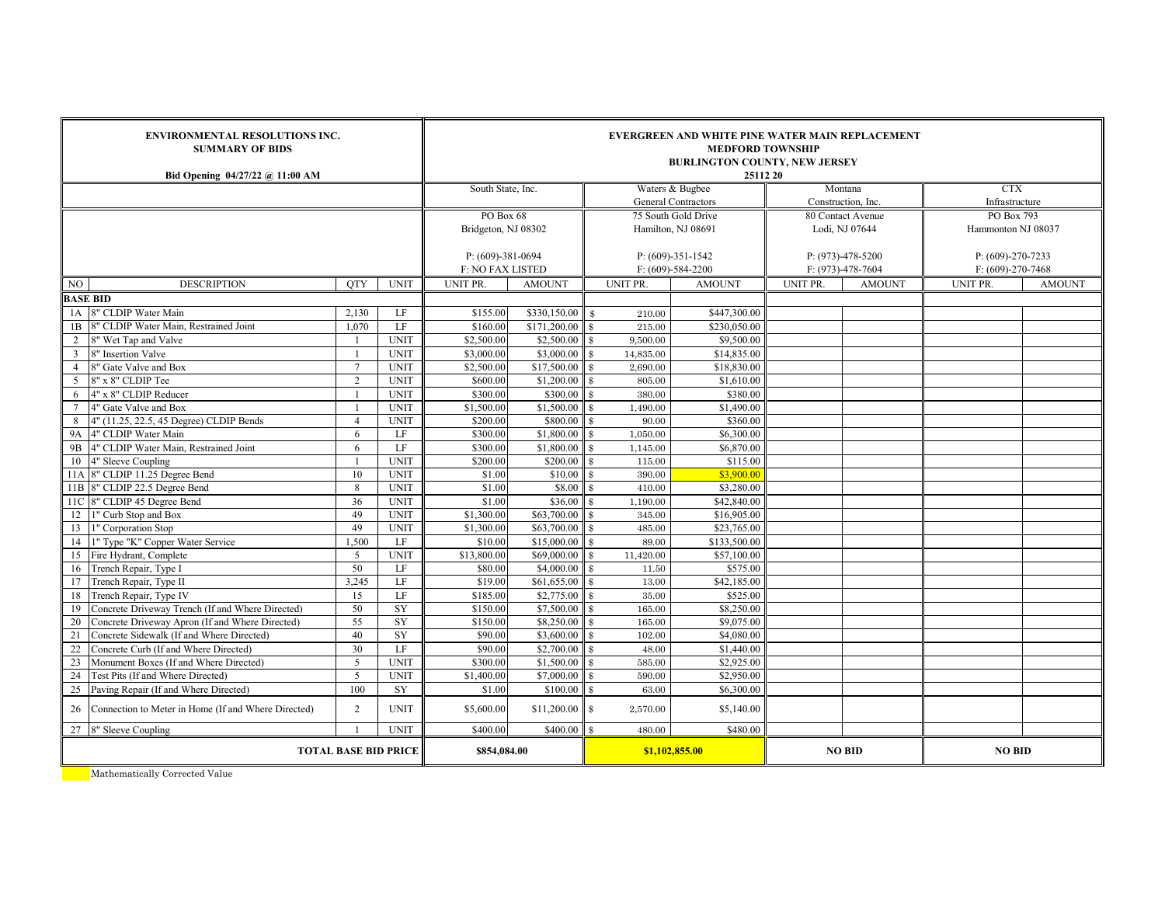|                 | <b>ENVIRONMENTAL RESOLUTIONS INC.</b><br><b>SUMMARY OF BIDS</b><br>Bid Opening 04/27/22 @ 11:00 AM  |                  | <b>EVERGREEN AND WHITE PINE WATER MAIN REPLACEMENT</b><br><b>MEDFORD TOWNSHIP</b><br><b>BURLINGTON COUNTY, NEW JERSEY</b><br>25112 20 |                      |                           |                                               |                          |                                         |                   |                              |               |
|-----------------|-----------------------------------------------------------------------------------------------------|------------------|---------------------------------------------------------------------------------------------------------------------------------------|----------------------|---------------------------|-----------------------------------------------|--------------------------|-----------------------------------------|-------------------|------------------------------|---------------|
|                 |                                                                                                     |                  |                                                                                                                                       | South State, Inc.    |                           | Waters & Bugbee<br><b>General Contractors</b> |                          |                                         | Montana           | <b>CTX</b><br>Infrastructure |               |
|                 |                                                                                                     |                  |                                                                                                                                       | PO Box 68            |                           | 75 South Gold Drive                           |                          | Construction, Inc.<br>80 Contact Avenue |                   | PO Box 793                   |               |
|                 |                                                                                                     |                  |                                                                                                                                       | Bridgeton, NJ 08302  |                           |                                               | Hamilton, NJ 08691       |                                         | Lodi, NJ 07644    | Hammonton NJ 08037           |               |
|                 |                                                                                                     |                  |                                                                                                                                       |                      |                           |                                               |                          |                                         |                   |                              |               |
|                 |                                                                                                     |                  |                                                                                                                                       | $P: (609)-381-0694$  |                           |                                               | $P: (609)-351-1542$      |                                         | P: (973)-478-5200 | $P: (609)-270-7233$          |               |
|                 |                                                                                                     |                  | <b>F: NO FAX LISTED</b>                                                                                                               |                      |                           | $F: (609)-584-2200$                           |                          | F: (973)-478-7604                       | F: (609)-270-7468 |                              |               |
| NO.             | <b>DESCRIPTION</b>                                                                                  | <b>OTY</b>       | <b>UNIT</b>                                                                                                                           | UNIT PR.             | <b>AMOUNT</b>             | UNIT PR.                                      | <b>AMOUNT</b>            | UNIT PR.                                | <b>AMOUNT</b>     | UNIT PR.                     | <b>AMOUNT</b> |
| <b>BASE BID</b> |                                                                                                     |                  |                                                                                                                                       |                      |                           |                                               |                          |                                         |                   |                              |               |
|                 | 1A 8" CLDIP Water Main                                                                              | 2,130            | LF                                                                                                                                    | \$155.00             | \$330,150.00              | $\mathbf{s}$<br>210.00                        | \$447,300.00             |                                         |                   |                              |               |
| 1B              | 8" CLDIP Water Main, Restrained Joint                                                               | 1.070            | LF                                                                                                                                    | \$160.00             | \$171,200.00              | 215.00                                        | \$230,050.00             |                                         |                   |                              |               |
| $\overline{2}$  | 8" Wet Tap and Valve                                                                                |                  | <b>UNIT</b>                                                                                                                           | \$2,500.00           | \$2,500.00                | 9,500.00                                      | \$9,500.00               |                                         |                   |                              |               |
| 3               | 8" Insertion Valve                                                                                  | $\overline{1}$   | <b>UNIT</b>                                                                                                                           | \$3,000.00           | \$3,000.00                | $\mathbf{\$}$<br>14,835.00                    | \$14,835.00              |                                         |                   |                              |               |
| $\overline{4}$  | 8" Gate Valve and Box                                                                               | $\overline{7}$   | <b>UNIT</b>                                                                                                                           | \$2,500.00           | \$17,500.00               | 2,690.00<br>$\mathbf{\Re}$                    | \$18,830.00              |                                         |                   |                              |               |
| 5 <sup>1</sup>  | 8" x 8" CLDIP Tee                                                                                   | $\overline{2}$   | <b>UNIT</b>                                                                                                                           | \$600.00             | \$1,200.00                | 805.00<br>$\mathbf{\Re}$                      | \$1,610.00               |                                         |                   |                              |               |
| 6               | 4" x 8" CLDIP Reducer                                                                               | $\overline{1}$   | <b>UNIT</b>                                                                                                                           | \$300.00             | \$300.00                  | 380.00<br>$\mathbf{\Re}$                      | \$380.00                 |                                         |                   |                              |               |
| $\tau$          | 4" Gate Valve and Box                                                                               | $\overline{1}$   | <b>UNIT</b>                                                                                                                           | \$1,500.00           | \$1,500.00                | 1,490.00<br>$\mathbf{\$}$                     | \$1,490.00               |                                         |                   |                              |               |
| 8               | 4" (11.25, 22.5, 45 Degree) CLDIP Bends                                                             | $\overline{4}$   | <b>UNIT</b>                                                                                                                           | \$200.00             | \$800.00                  | 90.00                                         | \$360.00                 |                                         |                   |                              |               |
| <b>9A</b>       | 4" CLDIP Water Main                                                                                 | 6                | LF                                                                                                                                    | \$300.00             | \$1,800.00                | 1,050.00<br>\$                                | \$6,300.00               |                                         |                   |                              |               |
| 9B              | 4" CLDIP Water Main, Restrained Joint                                                               | 6                | LF                                                                                                                                    | \$300.00             | \$1,800.00                | 1,145.00<br>$\mathbf{\hat{x}}$                | \$6,870.00               |                                         |                   |                              |               |
| 10              | 4" Sleeve Coupling                                                                                  | $\overline{1}$   | <b>UNIT</b>                                                                                                                           | \$200.00             | \$200.00                  | 115.00<br>\$                                  | \$115.00                 |                                         |                   |                              |               |
|                 | 11A 8" CLDIP 11.25 Degree Bend                                                                      | 10 <sup>10</sup> | <b>UNIT</b>                                                                                                                           | \$1.00               | \$10.00                   | 390.00                                        | \$3,900.00               |                                         |                   |                              |               |
|                 | 11B 8" CLDIP 22.5 Degree Bend                                                                       | 8                | <b>UNIT</b>                                                                                                                           | \$1.00               | \$8.00                    | 410.00                                        | \$3,280.00               |                                         |                   |                              |               |
| 11C             | 8" CLDIP 45 Degree Bend                                                                             | 36               | <b>UNIT</b>                                                                                                                           | \$1.00               | \$36.00                   | 1,190.00                                      | \$42,840.00              |                                         |                   |                              |               |
| 12              | 1" Curb Stop and Box                                                                                | 49               | <b>UNIT</b>                                                                                                                           | \$1,300.00           | \$63,700.00               | 345.00                                        | \$16,905.00              |                                         |                   |                              |               |
| 13              | 1" Corporation Stop                                                                                 | 49               | <b>UNIT</b>                                                                                                                           | \$1,300.00           | \$63,700.00               | 485.00<br>\$                                  | \$23,765.00              |                                         |                   |                              |               |
| 14              | 1" Type "K" Copper Water Service                                                                    | 1,500            | LF                                                                                                                                    | \$10.00              | \$15,000.00               | 89.00<br>$\mathbf{\Re}$                       | \$133,500.00             |                                         |                   |                              |               |
| 15              | Fire Hydrant, Complete                                                                              | 5                | <b>UNIT</b>                                                                                                                           | \$13,800.00          | \$69,000.00               | 11,420.00<br>$\mathbf{\Re}$                   | \$57,100.00              |                                         |                   |                              |               |
| 16              | Trench Repair, Type I                                                                               | 50<br>3.245      | LF<br>LF                                                                                                                              | \$80.00              | \$4,000.00                | 11.50<br>$\mathbf{\Re}$                       | \$575.00                 |                                         |                   |                              |               |
| 17              | Trench Repair, Type II                                                                              | 15               | LF                                                                                                                                    | \$19.00              | \$61,655.00<br>\$2,775.00 | 13.00<br>$\mathbf{\Re}$                       | \$42,185.00<br>\$525.00  |                                         |                   |                              |               |
| 18<br>19        | Trench Repair, Type IV                                                                              | 50               | SY                                                                                                                                    | \$185.00             | \$7,500.00                | 35.00                                         |                          |                                         |                   |                              |               |
| 20              | Concrete Driveway Trench (If and Where Directed)<br>Concrete Driveway Apron (If and Where Directed) | 55               | $\overline{SY}$                                                                                                                       | \$150.00<br>\$150.00 | \$8,250.00                | 165.00<br>165.00                              | \$8,250.00<br>\$9,075.00 |                                         |                   |                              |               |
| 21              |                                                                                                     | 40               | SY                                                                                                                                    |                      |                           |                                               |                          |                                         |                   |                              |               |
| 22              | Concrete Sidewalk (If and Where Directed)<br>Concrete Curb (If and Where Directed)                  | 30               | LF                                                                                                                                    | \$90.00<br>\$90.00   | \$3,600.00<br>\$2,700.00  | 102.00<br>48.00                               | \$4,080.00<br>\$1,440.00 |                                         |                   |                              |               |
| 23              | Monument Boxes (If and Where Directed)                                                              | 5                | <b>UNIT</b>                                                                                                                           | \$300.00             | \$1,500.00                |                                               | \$2,925.00               |                                         |                   |                              |               |
|                 |                                                                                                     | 5                |                                                                                                                                       |                      |                           | 585.00                                        |                          |                                         |                   |                              |               |
| 24<br>25        | Test Pits (If and Where Directed)<br>Paving Repair (If and Where Directed)                          | 100              | <b>UNIT</b><br>SY                                                                                                                     | \$1,400.00<br>\$1.00 | \$7,000.00<br>\$100.00    | 590.00<br>$\mathbf{\hat{x}}$<br>63.00         | \$2,950.00<br>\$6,300.00 |                                         |                   |                              |               |
|                 |                                                                                                     |                  |                                                                                                                                       |                      |                           |                                               |                          |                                         |                   |                              |               |
| 26              | Connection to Meter in Home (If and Where Directed)                                                 | $\overline{2}$   | <b>UNIT</b><br><b>UNIT</b>                                                                                                            | \$5,600.00           | \$11,200.00               | \$<br>2,570.00                                | \$5,140.00               |                                         |                   |                              |               |
|                 | 27 8" Sleeve Coupling                                                                               | \$400.00         | \$400.00                                                                                                                              | $\Re$<br>480.00      | \$480.00                  |                                               |                          |                                         |                   |                              |               |
|                 | <b>TOTAL BASE BID PRICE</b>                                                                         | \$854,084.00     |                                                                                                                                       |                      | \$1,102,855.00            | <b>NO BID</b>                                 |                          |                                         | <b>NO BID</b>     |                              |               |
|                 |                                                                                                     |                  |                                                                                                                                       |                      |                           |                                               |                          |                                         |                   |                              |               |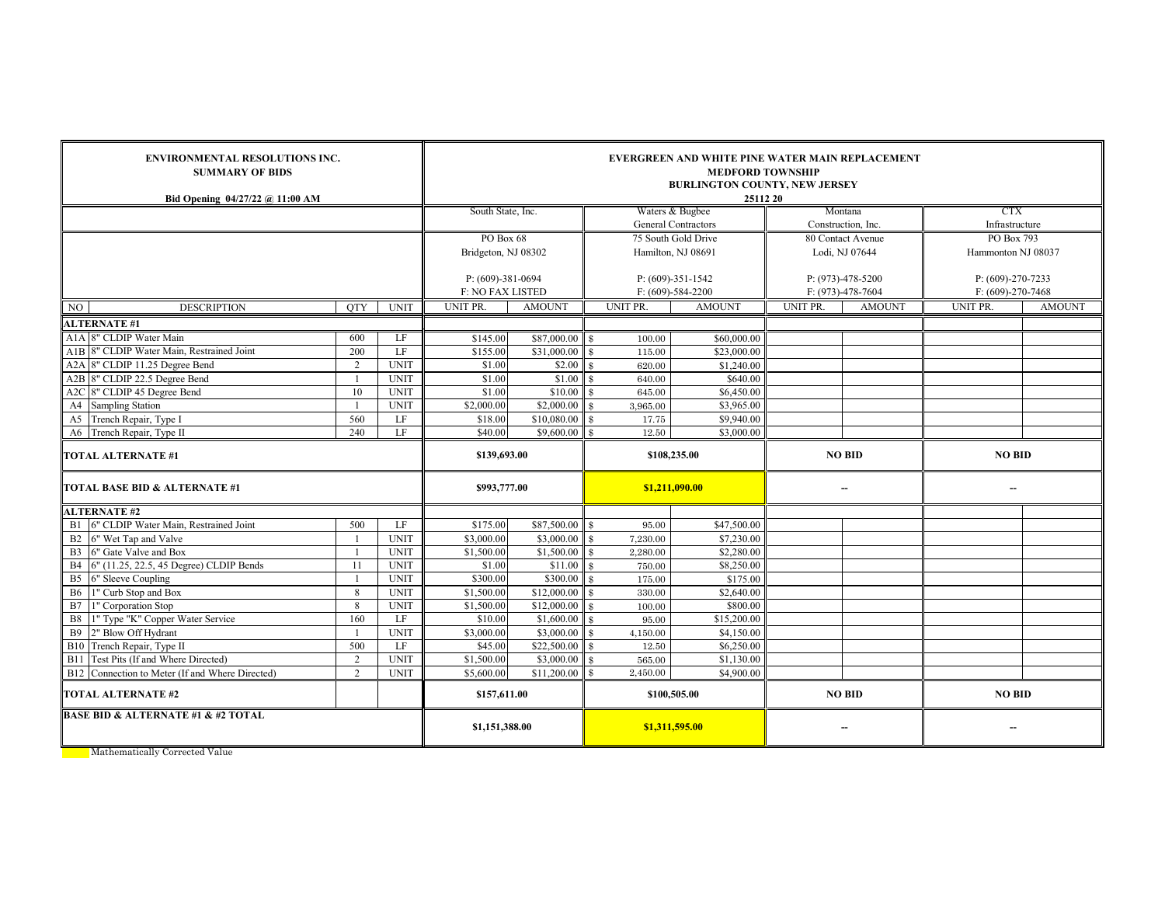| <b>SUMMARY OF BIDS</b><br>Bid Opening 04/27/22 @ 11:00 AM | <b>ENVIRONMENTAL RESOLUTIONS INC.</b>      |             |                                         |                           | EVERGREEN AND WHITE PINE WATER MAIN REPLACEMENT<br><b>MEDFORD TOWNSHIP</b><br><b>BURLINGTON COUNTY, NEW JERSEY</b><br>25112 20 |                            |                    |                          |                                        |               |  |  |  |  |
|-----------------------------------------------------------|--------------------------------------------|-------------|-----------------------------------------|---------------------------|--------------------------------------------------------------------------------------------------------------------------------|----------------------------|--------------------|--------------------------|----------------------------------------|---------------|--|--|--|--|
|                                                           |                                            |             | South State, Inc.                       |                           |                                                                                                                                | Waters & Bugbee            | Montana            |                          | CTX                                    |               |  |  |  |  |
|                                                           |                                            |             |                                         |                           |                                                                                                                                | <b>General Contractors</b> | Construction, Inc. |                          | Infrastructure                         |               |  |  |  |  |
|                                                           |                                            |             | PO Box 68                               |                           | 75 South Gold Drive                                                                                                            |                            | 80 Contact Avenue  |                          | PO Box 793                             |               |  |  |  |  |
|                                                           |                                            |             | Bridgeton, NJ 08302                     |                           |                                                                                                                                | Hamilton, NJ 08691         | Lodi, NJ 07644     |                          | Hammonton NJ 08037                     |               |  |  |  |  |
|                                                           |                                            |             |                                         |                           | $P: (609)-351-1542$                                                                                                            |                            |                    | P: (973)-478-5200        |                                        |               |  |  |  |  |
|                                                           |                                            |             | $P: (609)-381-0694$<br>F: NO FAX LISTED |                           |                                                                                                                                | $F: (609)-584-2200$        |                    | F: (973)-478-7604        | P: (609)-270-7233<br>F: (609)-270-7468 |               |  |  |  |  |
| <b>DESCRIPTION</b><br>NO.                                 | <b>OTY</b>                                 | <b>UNIT</b> | <b>UNIT PR</b>                          | <b>AMOUNT</b>             | UNIT PR.                                                                                                                       | <b>AMOUNT</b>              | UNIT PR.           | <b>AMOUNT</b>            | UNIT PR.                               | <b>AMOUNT</b> |  |  |  |  |
| <b>ALTERNATE #1</b>                                       |                                            |             |                                         |                           |                                                                                                                                |                            |                    |                          |                                        |               |  |  |  |  |
| A1A 8" CLDIP Water Main                                   | 600                                        | LF          | \$145.00                                | $$87,000.00$ \ \ \$       | 100.00                                                                                                                         | \$60,000.00                |                    |                          |                                        |               |  |  |  |  |
| A1B 8" CLDIP Water Main, Restrained Joint                 | 200                                        | LE          | \$155.00                                | \$31,000.00               | $\mathbf{\hat{s}}$<br>115.00                                                                                                   | \$23,000.00                |                    |                          |                                        |               |  |  |  |  |
| A2A 8" CLDIP 11.25 Degree Bend                            | $\overline{2}$                             | <b>UNIT</b> | \$1.00                                  | \$2.00                    | $\mathbf{\hat{x}}$<br>620.00                                                                                                   | \$1,240.00                 |                    |                          |                                        |               |  |  |  |  |
| A2B 8" CLDIP 22.5 Degree Bend                             | $\mathbf{1}$                               | <b>UNIT</b> | \$1.00                                  | \$1.00                    | \$<br>640.00                                                                                                                   | \$640.00                   |                    |                          |                                        |               |  |  |  |  |
| A2C 8" CLDIP 45 Degree Bend                               | 10                                         | <b>UNIT</b> | \$1.00                                  | \$10.00                   | 645.00<br>$\mathbf{\hat{x}}$                                                                                                   | \$6,450.00                 |                    |                          |                                        |               |  |  |  |  |
| A4 Sampling Station                                       | $\overline{1}$                             | <b>UNIT</b> | \$2,000.00                              | \$2,000.00                | $\mathbf{\hat{x}}$<br>3,965.00                                                                                                 | \$3,965.00                 |                    |                          |                                        |               |  |  |  |  |
| A5 Trench Repair, Type I                                  | 560                                        | LF          | \$18.00                                 | \$10,080.00               | 17.75<br>$\mathbf{\$}$                                                                                                         | \$9,940.00                 |                    |                          |                                        |               |  |  |  |  |
| A6 Trench Repair, Type II                                 | LF                                         | \$40.00     | \$9,600.00                              | $\mathbf{R}$<br>12.50     | \$3,000.00                                                                                                                     |                            |                    |                          |                                        |               |  |  |  |  |
| <b>TOTAL ALTERNATE #1</b>                                 |                                            |             | \$139,693.00                            |                           |                                                                                                                                | \$108,235.00               |                    | <b>NO BID</b>            | <b>NO BID</b>                          |               |  |  |  |  |
| <b>TOTAL BASE BID &amp; ALTERNATE #1</b>                  |                                            |             | \$993,777.00                            |                           | \$1,211,090.00                                                                                                                 |                            |                    | $\overline{\phantom{a}}$ |                                        |               |  |  |  |  |
| <b>ALTERNATE #2</b>                                       |                                            |             |                                         |                           |                                                                                                                                |                            |                    |                          |                                        |               |  |  |  |  |
| B1 6" CLDIP Water Main, Restrained Joint                  | 500                                        | LF          | \$175.00                                | \$87,500.00               | $\mathbf{s}$<br>95.00                                                                                                          | \$47,500.00                |                    |                          |                                        |               |  |  |  |  |
| 6" Wet Tap and Valve<br>B2                                | $\overline{1}$                             | <b>UNIT</b> | \$3,000.00                              | \$3,000.00                | 7,230.00<br>$\mathbf{\$}$                                                                                                      | \$7,230.00                 |                    |                          |                                        |               |  |  |  |  |
| 6" Gate Valve and Box<br>B <sub>3</sub>                   | $\overline{1}$                             | <b>UNIT</b> | \$1,500.00                              | \$1,500.00                | 2,280.00<br>$\mathbf{\hat{x}}$                                                                                                 | \$2,280.00                 |                    |                          |                                        |               |  |  |  |  |
| B4 6" (11.25, 22.5, 45 Degree) CLDIP Bends                | 11                                         | <b>UNIT</b> | \$1.00                                  | \$11.00                   | 750.00<br>\$                                                                                                                   | \$8,250.00                 |                    |                          |                                        |               |  |  |  |  |
| B <sub>5</sub><br>6" Sleeve Coupling                      | $\overline{1}$                             | <b>UNIT</b> | \$300.00                                | \$300.00                  | 175.00<br>$\mathbf{\hat{x}}$                                                                                                   | \$175.00                   |                    |                          |                                        |               |  |  |  |  |
| <b>B6</b><br>1" Curb Stop and Box                         | 8                                          | <b>UNIT</b> | \$1,500.00                              | \$12,000.00               | 330.00<br>$\mathbf{\hat{x}}$                                                                                                   | \$2,640.00                 |                    |                          |                                        |               |  |  |  |  |
| B7<br>1" Corporation Stop                                 | 8                                          | <b>UNIT</b> | \$1,500.00                              | \$12,000.00               | 100.00<br>$\mathbf{\Re}$                                                                                                       | \$800.00                   |                    |                          |                                        |               |  |  |  |  |
| 1" Type "K" Copper Water Service<br>B8                    | 160                                        | LF          | \$10.00                                 | \$1,600.00                | 95.00<br>$\mathcal{R}$                                                                                                         | \$15,200.00                |                    |                          |                                        |               |  |  |  |  |
| <b>B9</b><br>2" Blow Off Hydrant                          |                                            | <b>UNIT</b> | \$3,000.00                              | \$3,000.00                | $\mathbf{\hat{x}}$<br>4,150.00                                                                                                 | \$4,150.00                 |                    |                          |                                        |               |  |  |  |  |
| B10 Trench Repair, Type II                                | 500                                        | LF          | \$45.00                                 | \$22,500.00               | 12.50<br>$\mathbf{\Re}$                                                                                                        | \$6,250.00                 |                    |                          |                                        |               |  |  |  |  |
| B11 Test Pits (If and Where Directed)                     | 2                                          | <b>UNIT</b> | \$1,500.00                              | \$3,000.00<br>\$11,200.00 | $\mathbf{\hat{x}}$<br>565.00<br>2,450.00                                                                                       | \$1,130.00<br>\$4,900.00   |                    |                          |                                        |               |  |  |  |  |
| B12 Connection to Meter (If and Where Directed)           | $\mathcal{L}$<br><b>UNIT</b><br>\$5,600.00 |             |                                         |                           |                                                                                                                                |                            |                    |                          |                                        |               |  |  |  |  |
| <b>TOTAL ALTERNATE #2</b>                                 |                                            |             | \$157,611.00                            |                           |                                                                                                                                | \$100,505.00               |                    | <b>NO BID</b>            | <b>NO BID</b>                          |               |  |  |  |  |
| <b>BASE BID &amp; ALTERNATE #1 &amp; #2 TOTAL</b>         |                                            |             | \$1,151,388.00                          |                           |                                                                                                                                | \$1,311,595.00             |                    | $\overline{\phantom{a}}$ |                                        |               |  |  |  |  |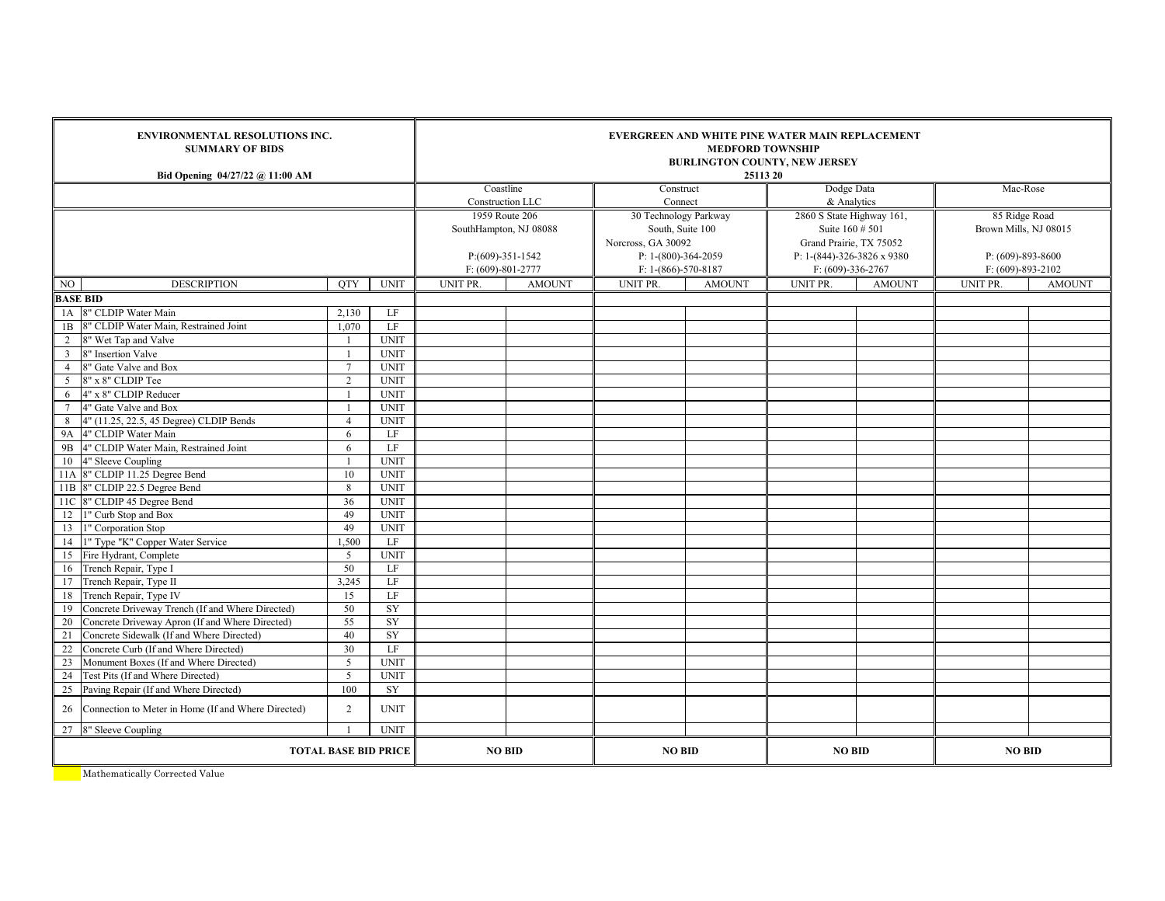| <b>SUMMARY OF BIDS</b><br>Bid Opening 04/27/22 @ 11:00 AM | <b>ENVIRONMENTAL RESOLUTIONS INC.</b> |             |                        |                    | <b>EVERGREEN AND WHITE PINE WATER MAIN REPLACEMENT</b><br><b>MEDFORD TOWNSHIP</b><br><b>BURLINGTON COUNTY, NEW JERSEY</b><br>25113 20 |                  |                                                 |                         |                         |               |  |  |  |  |
|-----------------------------------------------------------|---------------------------------------|-------------|------------------------|--------------------|---------------------------------------------------------------------------------------------------------------------------------------|------------------|-------------------------------------------------|-------------------------|-------------------------|---------------|--|--|--|--|
|                                                           |                                       |             | Coastline              |                    | Construct                                                                                                                             |                  | Dodge Data                                      |                         | Mac-Rose                |               |  |  |  |  |
|                                                           |                                       |             |                        | Construction LLC   | Connect                                                                                                                               |                  | & Analytics                                     |                         |                         |               |  |  |  |  |
|                                                           |                                       |             | 1959 Route 206         |                    | 30 Technology Parkway                                                                                                                 |                  | 2860 S State Highway 161,<br>Suite $160 \# 501$ |                         | 85 Ridge Road           |               |  |  |  |  |
|                                                           |                                       |             | SouthHampton, NJ 08088 |                    | Norcross, GA 30092                                                                                                                    | South, Suite 100 |                                                 | Grand Prairie, TX 75052 | Brown Mills, NJ 08015   |               |  |  |  |  |
|                                                           |                                       |             |                        | $P:(609)-351-1542$ | P: 1-(800)-364-2059                                                                                                                   |                  | P: 1-(844)-326-3826 x 9380                      |                         | $P: (609)-893-8600$     |               |  |  |  |  |
|                                                           |                                       |             | $F: (609)-801-2777$    |                    | $F: 1-(866)-570-8187$                                                                                                                 |                  | $F: (609)-336-2767$                             |                         | $F: (609) - 893 - 2102$ |               |  |  |  |  |
| NO<br><b>DESCRIPTION</b>                                  | <b>OTY</b>                            | <b>UNIT</b> | UNIT PR.               | <b>AMOUNT</b>      | UNIT PR.                                                                                                                              | <b>AMOUNT</b>    | UNIT PR.                                        | <b>AMOUNT</b>           | UNIT PR.                | <b>AMOUNT</b> |  |  |  |  |
| <b>BASE BID</b>                                           |                                       |             |                        |                    |                                                                                                                                       |                  |                                                 |                         |                         |               |  |  |  |  |
| 1A 8" CLDIP Water Main                                    | 2,130                                 | LF          |                        |                    |                                                                                                                                       |                  |                                                 |                         |                         |               |  |  |  |  |
| 1B 8" CLDIP Water Main, Restrained Joint                  | 1.070                                 | LF          |                        |                    |                                                                                                                                       |                  |                                                 |                         |                         |               |  |  |  |  |
| 2 8" Wet Tap and Valve                                    | -1                                    | <b>UNIT</b> |                        |                    |                                                                                                                                       |                  |                                                 |                         |                         |               |  |  |  |  |
| $\overline{3}$<br>8" Insertion Valve                      | $\overline{1}$                        | <b>UNIT</b> |                        |                    |                                                                                                                                       |                  |                                                 |                         |                         |               |  |  |  |  |
| 8" Gate Valve and Box<br>$\overline{4}$                   | $\overline{7}$                        | <b>UNIT</b> |                        |                    |                                                                                                                                       |                  |                                                 |                         |                         |               |  |  |  |  |
| 8" x 8" CLDIP Tee<br>5                                    | $\overline{2}$                        | <b>UNIT</b> |                        |                    |                                                                                                                                       |                  |                                                 |                         |                         |               |  |  |  |  |
| 4" x 8" CLDIP Reducer<br>6                                |                                       | <b>UNIT</b> |                        |                    |                                                                                                                                       |                  |                                                 |                         |                         |               |  |  |  |  |
| $7\phantom{.0}$<br>4" Gate Valve and Box                  |                                       | <b>UNIT</b> |                        |                    |                                                                                                                                       |                  |                                                 |                         |                         |               |  |  |  |  |
| 8<br>4" (11.25, 22.5, 45 Degree) CLDIP Bends              | $\overline{4}$                        | <b>UNIT</b> |                        |                    |                                                                                                                                       |                  |                                                 |                         |                         |               |  |  |  |  |
| <b>9A</b><br>4" CLDIP Water Main                          | 6                                     | LF          |                        |                    |                                                                                                                                       |                  |                                                 |                         |                         |               |  |  |  |  |
| 9B<br>4" CLDIP Water Main, Restrained Joint               | 6                                     | $\rm LF$    |                        |                    |                                                                                                                                       |                  |                                                 |                         |                         |               |  |  |  |  |
| 10<br>4" Sleeve Coupling                                  |                                       | <b>UNIT</b> |                        |                    |                                                                                                                                       |                  |                                                 |                         |                         |               |  |  |  |  |
| 11A 8" CLDIP 11.25 Degree Bend                            | 10                                    | <b>UNIT</b> |                        |                    |                                                                                                                                       |                  |                                                 |                         |                         |               |  |  |  |  |
| 11B 8" CLDIP 22.5 Degree Bend                             | 8                                     | <b>UNIT</b> |                        |                    |                                                                                                                                       |                  |                                                 |                         |                         |               |  |  |  |  |
| 11C 8" CLDIP 45 Degree Bend                               | 36                                    | <b>UNIT</b> |                        |                    |                                                                                                                                       |                  |                                                 |                         |                         |               |  |  |  |  |
| 12 1" Curb Stop and Box                                   | 49                                    | <b>UNIT</b> |                        |                    |                                                                                                                                       |                  |                                                 |                         |                         |               |  |  |  |  |
| 13 1" Corporation Stop                                    | 49                                    | <b>UNIT</b> |                        |                    |                                                                                                                                       |                  |                                                 |                         |                         |               |  |  |  |  |
| 1" Type "K" Copper Water Service<br>14                    | 1,500                                 | LF          |                        |                    |                                                                                                                                       |                  |                                                 |                         |                         |               |  |  |  |  |
| 15 Fire Hydrant, Complete                                 | 5                                     | <b>UNIT</b> |                        |                    |                                                                                                                                       |                  |                                                 |                         |                         |               |  |  |  |  |
| 16 Trench Repair, Type I                                  | 50                                    | LF          |                        |                    |                                                                                                                                       |                  |                                                 |                         |                         |               |  |  |  |  |
| 17<br>Trench Repair, Type II                              | 3.245                                 | LF          |                        |                    |                                                                                                                                       |                  |                                                 |                         |                         |               |  |  |  |  |
| 18<br>Trench Repair, Type IV                              | 15                                    | LF          |                        |                    |                                                                                                                                       |                  |                                                 |                         |                         |               |  |  |  |  |
| 19<br>Concrete Driveway Trench (If and Where Directed)    | 50                                    | SY          |                        |                    |                                                                                                                                       |                  |                                                 |                         |                         |               |  |  |  |  |
| 20<br>Concrete Driveway Apron (If and Where Directed)     | 55                                    | SY          |                        |                    |                                                                                                                                       |                  |                                                 |                         |                         |               |  |  |  |  |
| 21<br>Concrete Sidewalk (If and Where Directed)           | 40                                    | SY          |                        |                    |                                                                                                                                       |                  |                                                 |                         |                         |               |  |  |  |  |
| 22<br>Concrete Curb (If and Where Directed)               | 30                                    | LF          |                        |                    |                                                                                                                                       |                  |                                                 |                         |                         |               |  |  |  |  |
| 23<br>Monument Boxes (If and Where Directed)              | 5                                     | <b>UNIT</b> |                        |                    |                                                                                                                                       |                  |                                                 |                         |                         |               |  |  |  |  |
| 24<br>Test Pits (If and Where Directed)                   | $\overline{5}$                        | <b>UNIT</b> |                        |                    |                                                                                                                                       |                  |                                                 |                         |                         |               |  |  |  |  |
| 25<br>Paving Repair (If and Where Directed)               | 100                                   | SY          |                        |                    |                                                                                                                                       |                  |                                                 |                         |                         |               |  |  |  |  |
| Connection to Meter in Home (If and Where Directed)<br>26 | 2                                     | <b>UNIT</b> |                        |                    |                                                                                                                                       |                  |                                                 |                         |                         |               |  |  |  |  |
| 27 8" Sleeve Coupling                                     |                                       | <b>UNIT</b> |                        |                    |                                                                                                                                       |                  |                                                 |                         |                         |               |  |  |  |  |
| <b>TOTAL BASE BID PRICE</b>                               |                                       |             | <b>NO BID</b>          | <b>NO BID</b>      |                                                                                                                                       | <b>NO BID</b>    |                                                 | <b>NO BID</b>           |                         |               |  |  |  |  |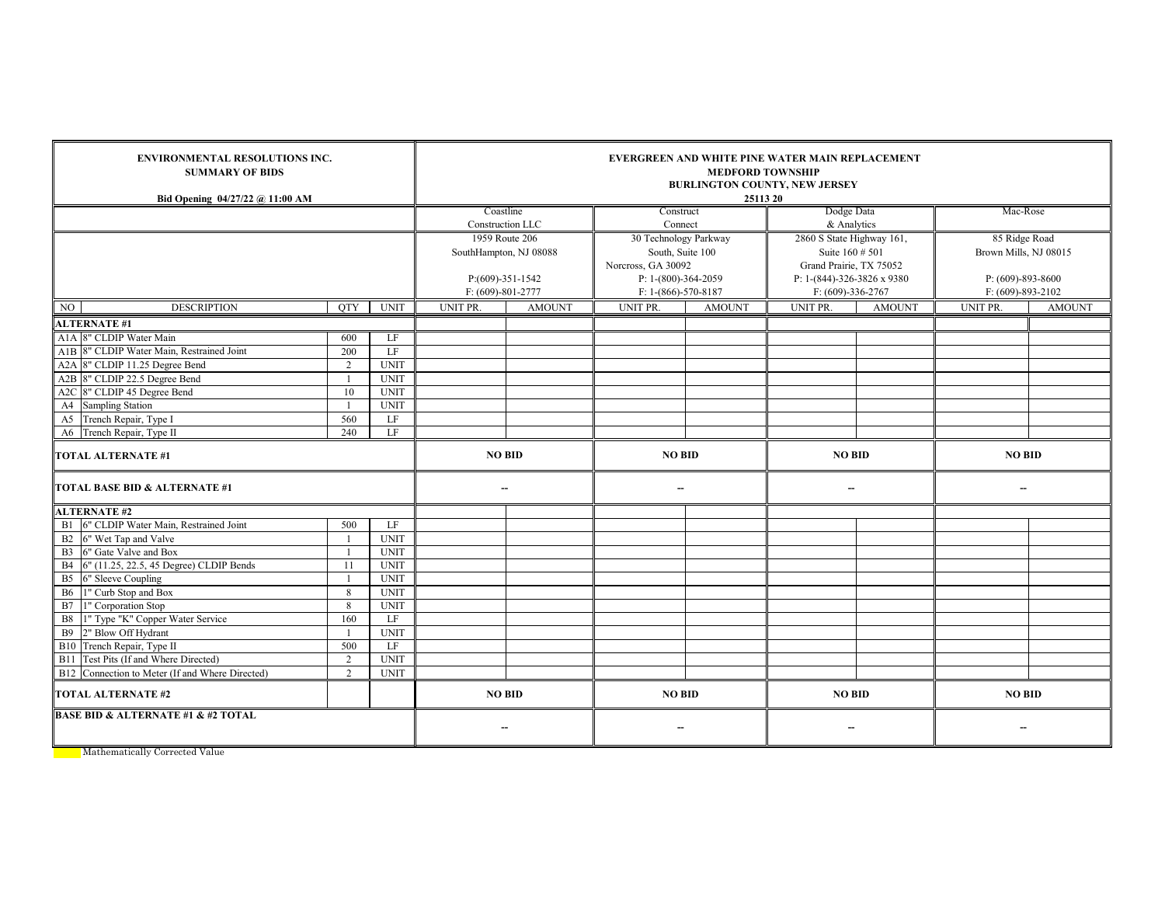| <b>SUMMARY OF BIDS</b><br>Bid Opening 04/27/22 @ 11:00 AM | <b>ENVIRONMENTAL RESOLUTIONS INC.</b> |             |                          |               | EVERGREEN AND WHITE PINE WATER MAIN REPLACEMENT<br><b>MEDFORD TOWNSHIP</b><br><b>BURLINGTON COUNTY, NEW JERSEY</b><br>25113 20 |               |                            |               |                       |               |  |  |  |  |
|-----------------------------------------------------------|---------------------------------------|-------------|--------------------------|---------------|--------------------------------------------------------------------------------------------------------------------------------|---------------|----------------------------|---------------|-----------------------|---------------|--|--|--|--|
|                                                           |                                       |             | Coastline                |               | Construct                                                                                                                      |               | Dodge Data                 |               | Mac-Rose              |               |  |  |  |  |
|                                                           |                                       |             | Construction LLC         |               |                                                                                                                                | Connect       |                            | & Analytics   |                       |               |  |  |  |  |
|                                                           |                                       |             | 1959 Route 206           |               | 30 Technology Parkway                                                                                                          |               | 2860 S State Highway 161,  |               | 85 Ridge Road         |               |  |  |  |  |
|                                                           |                                       |             | SouthHampton, NJ 08088   |               | South, Suite 100                                                                                                               |               | Suite 160 # 501            |               | Brown Mills, NJ 08015 |               |  |  |  |  |
|                                                           |                                       |             |                          |               | Norcross, GA 30092                                                                                                             |               | Grand Prairie, TX 75052    |               |                       |               |  |  |  |  |
|                                                           |                                       |             | P:(609)-351-1542         |               | P: 1-(800)-364-2059                                                                                                            |               | P: 1-(844)-326-3826 x 9380 |               | P: (609)-893-8600     |               |  |  |  |  |
|                                                           |                                       |             | $F: (609)-801-2777$      |               | $F: 1-(866)-570-8187$                                                                                                          |               | $F: (609)-336-2767$        |               | F: (609)-893-2102     |               |  |  |  |  |
| NO.<br><b>DESCRIPTION</b>                                 | <b>OTY</b>                            | <b>UNIT</b> | <b>UNIT PR.</b>          | <b>AMOUNT</b> | UNIT PR.                                                                                                                       | <b>AMOUNT</b> | UNIT PR.                   | <b>AMOUNT</b> | UNIT PR.              | <b>AMOUNT</b> |  |  |  |  |
| <b>ALTERNATE #1</b>                                       |                                       |             |                          |               |                                                                                                                                |               |                            |               |                       |               |  |  |  |  |
| A1A 8" CLDIP Water Main                                   | 600                                   | LF          |                          |               |                                                                                                                                |               |                            |               |                       |               |  |  |  |  |
| A1B 8" CLDIP Water Main, Restrained Joint                 | 200                                   | LF          |                          |               |                                                                                                                                |               |                            |               |                       |               |  |  |  |  |
| A2A 8" CLDIP 11.25 Degree Bend                            | $\overline{2}$                        | <b>UNIT</b> |                          |               |                                                                                                                                |               |                            |               |                       |               |  |  |  |  |
| A2B 8" CLDIP 22.5 Degree Bend                             | $\mathbf{1}$                          | <b>UNIT</b> |                          |               |                                                                                                                                |               |                            |               |                       |               |  |  |  |  |
| A2C 8" CLDIP 45 Degree Bend                               | 10                                    | <b>UNIT</b> |                          |               |                                                                                                                                |               |                            |               |                       |               |  |  |  |  |
| A4 Sampling Station                                       | $\overline{1}$                        | <b>UNIT</b> |                          |               |                                                                                                                                |               |                            |               |                       |               |  |  |  |  |
| A5 Trench Repair, Type I                                  | 560                                   | LF          |                          |               |                                                                                                                                |               |                            |               |                       |               |  |  |  |  |
| A6 Trench Repair, Type II                                 | 240                                   | LF          |                          |               |                                                                                                                                |               |                            |               |                       |               |  |  |  |  |
| <b>TOTAL ALTERNATE #1</b>                                 |                                       |             | <b>NO BID</b>            |               | <b>NO BID</b>                                                                                                                  |               | <b>NO BID</b>              |               | <b>NO BID</b>         |               |  |  |  |  |
| TOTAL BASE BID & ALTERNATE #1                             |                                       |             | $\overline{\phantom{a}}$ |               | $\overline{\phantom{a}}$                                                                                                       |               | $\overline{\phantom{a}}$   |               | $\sim$                |               |  |  |  |  |
| <b>ALTERNATE #2</b>                                       |                                       |             |                          |               |                                                                                                                                |               |                            |               |                       |               |  |  |  |  |
| B1 6" CLDIP Water Main, Restrained Joint                  | 500                                   | LF          |                          |               |                                                                                                                                |               |                            |               |                       |               |  |  |  |  |
| B2 6" Wet Tap and Valve                                   | $\overline{1}$                        | <b>UNIT</b> |                          |               |                                                                                                                                |               |                            |               |                       |               |  |  |  |  |
| B3 6" Gate Valve and Box                                  | $\overline{1}$                        | <b>UNIT</b> |                          |               |                                                                                                                                |               |                            |               |                       |               |  |  |  |  |
| B4 6" (11.25, 22.5, 45 Degree) CLDIP Bends                | 11                                    | <b>UNIT</b> |                          |               |                                                                                                                                |               |                            |               |                       |               |  |  |  |  |
| B <sub>5</sub><br>6" Sleeve Coupling                      |                                       | <b>UNIT</b> |                          |               |                                                                                                                                |               |                            |               |                       |               |  |  |  |  |
| 1" Curb Stop and Box<br><b>B6</b>                         | 8                                     | <b>UNIT</b> |                          |               |                                                                                                                                |               |                            |               |                       |               |  |  |  |  |
| B7 1" Corporation Stop                                    | 8                                     | <b>UNIT</b> |                          |               |                                                                                                                                |               |                            |               |                       |               |  |  |  |  |
| 1" Type "K" Copper Water Service<br><b>B8</b>             | 160                                   | LF          |                          |               |                                                                                                                                |               |                            |               |                       |               |  |  |  |  |
| <b>B</b> 9<br>2" Blow Off Hydrant                         |                                       | <b>UNIT</b> |                          |               |                                                                                                                                |               |                            |               |                       |               |  |  |  |  |
| B10 Trench Repair, Type II                                | 500                                   | LF          |                          |               |                                                                                                                                |               |                            |               |                       |               |  |  |  |  |
| B11 Test Pits (If and Where Directed)                     | $\overline{2}$                        | <b>UNIT</b> |                          |               |                                                                                                                                |               |                            |               |                       |               |  |  |  |  |
| B12 Connection to Meter (If and Where Directed)           | $\overline{2}$                        | <b>UNIT</b> |                          |               |                                                                                                                                |               |                            |               |                       |               |  |  |  |  |
| <b>TOTAL ALTERNATE #2</b>                                 |                                       |             | <b>NO BID</b>            |               | <b>NO BID</b>                                                                                                                  |               | <b>NO BID</b>              |               | <b>NO BID</b>         |               |  |  |  |  |
| <b>BASE BID &amp; ALTERNATE #1 &amp; #2 TOTAL</b>         |                                       |             | $\overline{\phantom{a}}$ |               | $\overline{\phantom{a}}$                                                                                                       |               | $\overline{\phantom{a}}$   |               | $\sim$                |               |  |  |  |  |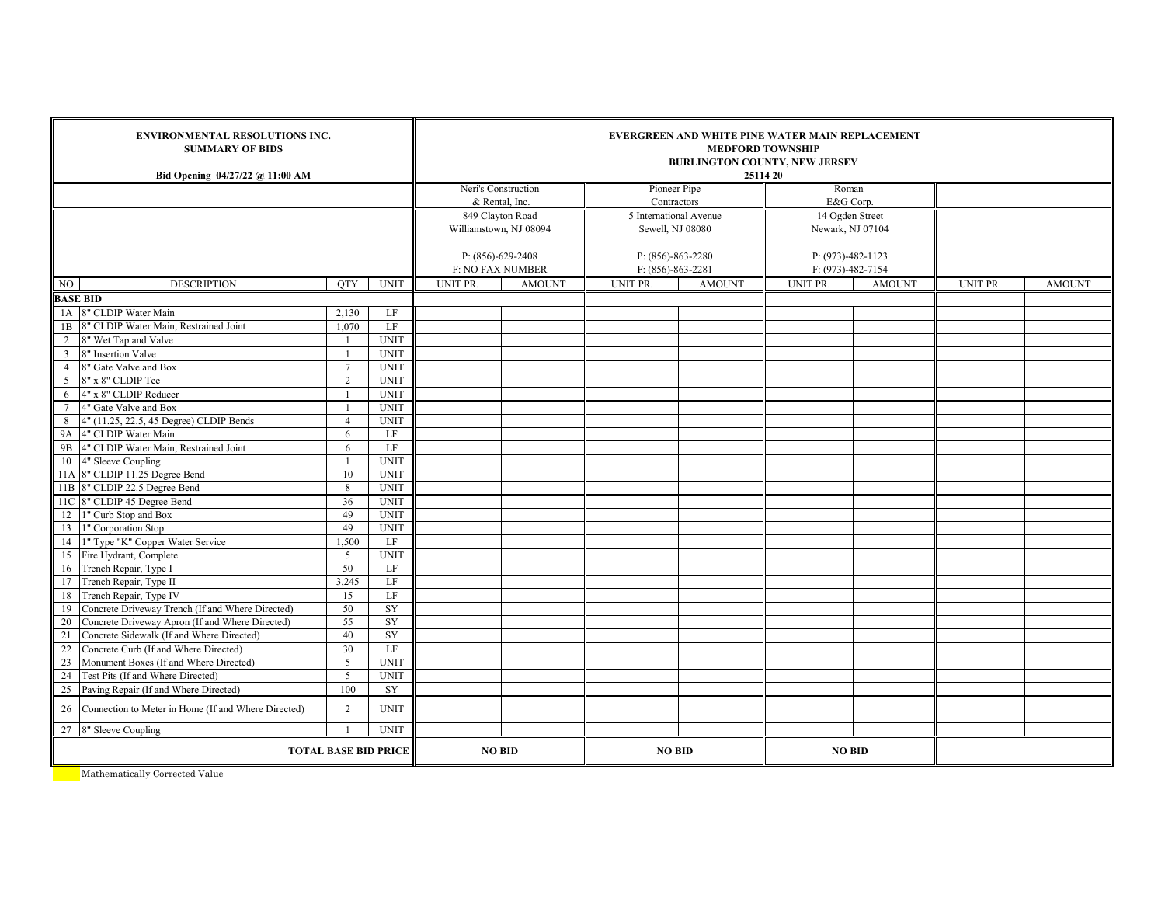|                         | <b>ENVIRONMENTAL RESOLUTIONS INC.</b><br><b>SUMMARY OF BIDS</b><br>Bid Opening 04/27/22 @ 11:00 AM |                 | EVERGREEN AND WHITE PINE WATER MAIN REPLACEMENT<br><b>MEDFORD TOWNSHIP</b><br><b>BURLINGTON COUNTY, NEW JERSEY</b><br>25114 20 |                                    |                     |                             |               |                     |               |          |               |  |
|-------------------------|----------------------------------------------------------------------------------------------------|-----------------|--------------------------------------------------------------------------------------------------------------------------------|------------------------------------|---------------------|-----------------------------|---------------|---------------------|---------------|----------|---------------|--|
|                         |                                                                                                    |                 |                                                                                                                                |                                    | Neri's Construction | Pioneer Pipe<br>Contractors |               | Roman<br>E&G Corp.  |               |          |               |  |
|                         |                                                                                                    |                 |                                                                                                                                | & Rental, Inc.<br>849 Clayton Road |                     | 5 International Avenue      |               | 14 Ogden Street     |               |          |               |  |
|                         |                                                                                                    |                 |                                                                                                                                | Williamstown, NJ 08094             |                     | Sewell, NJ 08080            |               | Newark, NJ 07104    |               |          |               |  |
|                         |                                                                                                    |                 |                                                                                                                                |                                    |                     |                             |               |                     |               |          |               |  |
|                         |                                                                                                    |                 |                                                                                                                                | $P: (856)-629-2408$                |                     | $P: (856)-863-2280$         |               | $P: (973)-482-1123$ |               |          |               |  |
|                         |                                                                                                    |                 |                                                                                                                                | <b>F: NO FAX NUMBER</b>            |                     | $F: (856)-863-2281$         |               | F: (973)-482-7154   |               |          |               |  |
| NO                      | <b>DESCRIPTION</b>                                                                                 | <b>OTY</b>      | <b>UNIT</b>                                                                                                                    | UNIT PR.                           | <b>AMOUNT</b>       | UNIT PR.                    | <b>AMOUNT</b> | UNIT PR.            | <b>AMOUNT</b> | UNIT PR. | <b>AMOUNT</b> |  |
|                         | <b>BASE BID</b>                                                                                    |                 |                                                                                                                                |                                    |                     |                             |               |                     |               |          |               |  |
| 1A                      | 8" CLDIP Water Main                                                                                | 2,130           | LF                                                                                                                             |                                    |                     |                             |               |                     |               |          |               |  |
| 1B                      | 8" CLDIP Water Main, Restrained Joint                                                              | 1,070           | LF                                                                                                                             |                                    |                     |                             |               |                     |               |          |               |  |
| $\overline{2}$          | 8" Wet Tap and Valve                                                                               |                 | <b>UNIT</b>                                                                                                                    |                                    |                     |                             |               |                     |               |          |               |  |
| $\overline{\mathbf{3}}$ | 8" Insertion Valve                                                                                 |                 | <b>UNIT</b>                                                                                                                    |                                    |                     |                             |               |                     |               |          |               |  |
| $\overline{4}$          | 8" Gate Valve and Box                                                                              | $7\phantom{.0}$ | <b>UNIT</b>                                                                                                                    |                                    |                     |                             |               |                     |               |          |               |  |
| 5                       | 8" x 8" CLDIP Tee                                                                                  | $\overline{2}$  | <b>UNIT</b>                                                                                                                    |                                    |                     |                             |               |                     |               |          |               |  |
| 6                       | 4" x 8" CLDIP Reducer                                                                              |                 | <b>UNIT</b>                                                                                                                    |                                    |                     |                             |               |                     |               |          |               |  |
| $7\phantom{.0}$         | 4" Gate Valve and Box                                                                              |                 | <b>UNIT</b>                                                                                                                    |                                    |                     |                             |               |                     |               |          |               |  |
| 8                       | 4" (11.25, 22.5, 45 Degree) CLDIP Bends                                                            | $\overline{4}$  | <b>UNIT</b>                                                                                                                    |                                    |                     |                             |               |                     |               |          |               |  |
| <b>9A</b>               | 4" CLDIP Water Main                                                                                | 6               | LF                                                                                                                             |                                    |                     |                             |               |                     |               |          |               |  |
| 9B                      | 4" CLDIP Water Main, Restrained Joint                                                              | 6               | LF                                                                                                                             |                                    |                     |                             |               |                     |               |          |               |  |
|                         | 10 4" Sleeve Coupling                                                                              |                 | <b>UNIT</b>                                                                                                                    |                                    |                     |                             |               |                     |               |          |               |  |
|                         | 11A 8" CLDIP 11.25 Degree Bend                                                                     | 10              | <b>UNIT</b>                                                                                                                    |                                    |                     |                             |               |                     |               |          |               |  |
|                         | 11B 8" CLDIP 22.5 Degree Bend                                                                      | 8               | <b>UNIT</b>                                                                                                                    |                                    |                     |                             |               |                     |               |          |               |  |
|                         | 11C 8" CLDIP 45 Degree Bend                                                                        | 36              | <b>UNIT</b>                                                                                                                    |                                    |                     |                             |               |                     |               |          |               |  |
|                         | 12 1" Curb Stop and Box                                                                            | 49              | <b>UNIT</b>                                                                                                                    |                                    |                     |                             |               |                     |               |          |               |  |
|                         | 13 1" Corporation Stop                                                                             | 49              | <b>UNIT</b>                                                                                                                    |                                    |                     |                             |               |                     |               |          |               |  |
| 14                      | 1" Type "K" Copper Water Service                                                                   | 1,500           | $\rm LF$                                                                                                                       |                                    |                     |                             |               |                     |               |          |               |  |
| 15                      | Fire Hydrant, Complete                                                                             | 5               | <b>UNIT</b>                                                                                                                    |                                    |                     |                             |               |                     |               |          |               |  |
|                         | 16 Trench Repair, Type I                                                                           | 50              | LF                                                                                                                             |                                    |                     |                             |               |                     |               |          |               |  |
|                         | 17 Trench Repair, Type II                                                                          | 3,245           | LF                                                                                                                             |                                    |                     |                             |               |                     |               |          |               |  |
|                         | 18 Trench Repair, Type IV                                                                          | 15              | LF                                                                                                                             |                                    |                     |                             |               |                     |               |          |               |  |
| 19                      | Concrete Driveway Trench (If and Where Directed)                                                   | 50              | ${\rm SY}$                                                                                                                     |                                    |                     |                             |               |                     |               |          |               |  |
| 20                      | Concrete Driveway Apron (If and Where Directed)                                                    | 55              | SY                                                                                                                             |                                    |                     |                             |               |                     |               |          |               |  |
| 21                      | Concrete Sidewalk (If and Where Directed)                                                          | 40              | SY                                                                                                                             |                                    |                     |                             |               |                     |               |          |               |  |
| $22\,$                  | Concrete Curb (If and Where Directed)                                                              | 30              | LF                                                                                                                             |                                    |                     |                             |               |                     |               |          |               |  |
| 23                      | Monument Boxes (If and Where Directed)                                                             | 5               | <b>UNIT</b>                                                                                                                    |                                    |                     |                             |               |                     |               |          |               |  |
| 24                      | Test Pits (If and Where Directed)                                                                  | $\overline{5}$  | <b>UNIT</b>                                                                                                                    |                                    |                     |                             |               |                     |               |          |               |  |
| 25                      | Paving Repair (If and Where Directed)                                                              | 100             | ${\rm SY}$                                                                                                                     |                                    |                     |                             |               |                     |               |          |               |  |
|                         |                                                                                                    |                 |                                                                                                                                |                                    |                     |                             |               |                     |               |          |               |  |
| 26                      | Connection to Meter in Home (If and Where Directed)                                                | $\overline{2}$  | <b>UNIT</b>                                                                                                                    |                                    |                     |                             |               |                     |               |          |               |  |
|                         | 27 8" Sleeve Coupling                                                                              | $\overline{1}$  | <b>UNIT</b>                                                                                                                    |                                    |                     |                             |               |                     |               |          |               |  |
|                         | <b>TOTAL BASE BID PRICE</b>                                                                        |                 |                                                                                                                                |                                    | <b>NO BID</b>       | <b>NO BID</b>               |               | <b>NO BID</b>       |               |          |               |  |